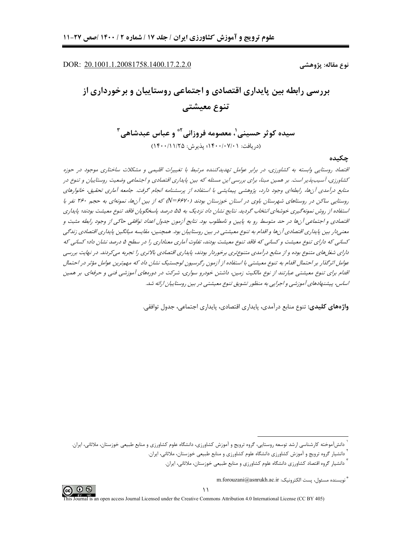DOR: 20.1001.1.20081758.1400.17.2.2.0

نوع مقاله: پژوهشي

# بررسی رابطه بین پایداری اقتصادی و اجتماعی روستاییان و برخورداری از تنوع معيشتي

سيده كوثر حسيني'، معصومه فروزاني' ٌ و عباس عبدشاهي ِّ (دريافت: ١۴٠٠/٠٧/٠١؛ يذيرش: ١۴٠٠/١١/٢٥)

جكيده

اقتصاد روستایی وابسته به کشاورزی، در برابر عوامل تهدیدکننده مرتبط با تغییرات اقلیمی و مشکلات ساختاری موجود در حوزه کشاورزی، آسیبپذیر است. بر همین مبنا، برای بررسی این مسئله که بین پایداری اقتصادی و اجتماعی وضعیت روستاییان و تنوع در منابع درآمدی آنها، رابطهای وجود دارد، پژوهشی پیمایشی با استفاده از پرسشنامه انجام گرفت. جامعه آماری تحقیق، خانوارهای روستایی ساکن در روستاهای شهرستان باوی در استان خوزستان بودند (۶۶۲۰–N) که از بین آنها، نمونهای به حجم ۲۶۰ نفر با استفاده از روش نمونه گیری خوشهای انتخاب گردید. نتایج نشان داد نزدیک به ۵۵ درصد پاسخگویان فاقد تنوع معیشت بودند؛ پایداری اقتصادی و اجتماعی آنها در حد متوسط رو به پایین و نامطلوب بود. نتایج آزمون جدول اعداد توافقی حاکی از وجود رابطه مثبت و معنے دار بین پایداری اقتصادی آنها و اقدام به تنوع معیشتے در بین روستاییان بود. همچنین، مقایسه میانگین پایداری اقتصادی زندگی کسانی که دارای تنوع معیشت و کسانی که فاقد تنوع معیشت بودند، تفاوت آماری معناداری را در سطح ۵ درصد نشان داد؛ کسانی که دارای شغلهای متنوع بوده و از منابع درآمدی متنوعتری برخوردار بودند، پایداری اقتصادی بالاتری را تجربه می کردند. در نهایت بررسی عوامل اثرگذار بر احتمال اقدام به تنوع معیشتی با استفاده از آزمون رگرسیون لوجستیک نشان داد که مهمترین عوامل مؤثر در احتمال اقنام برای تنوع معیشتی عبارتند از نوع مالکیت زمین، داشتن خودرو سواری، شرکت در دورههای آموزشی فنی و حرفهای. بر همین اساس، پیشنهادهای آموزشی و اجرایی به منظور تشویق تنوع معیشتی در بین روستاییان ارائه شد.

**واژەهای کلیدی:** تنوع منابع درآمدی، پایداری اقتصادی، پایداری اجتماعی، جدول توافقی.



دانش آموخته کارشناسی ارشد توسعه روستایی، گروه ترویج و آموزش کشاورزی، دانشگاه علوم کشاورزی و منابع طبیعی خوزستان، ملاثانی، ایران.

<sup>ّ</sup> دانشیار گروه ترویج و آموزش کشاورزی دانشگاه علوم کشاورزی و منابع طبیعی خوزستان، ملاثانی، ایران.

دانشیار گروه اقتصاد کشاورزی دانشگاه علوم کشاورزی و منابع طبیعی خوزستان، ملاثانی، ایران.

<sup>&</sup>quot; نويسنده مسئول، يست الكترونيك: m.forouzani@asnrukh.ac.ir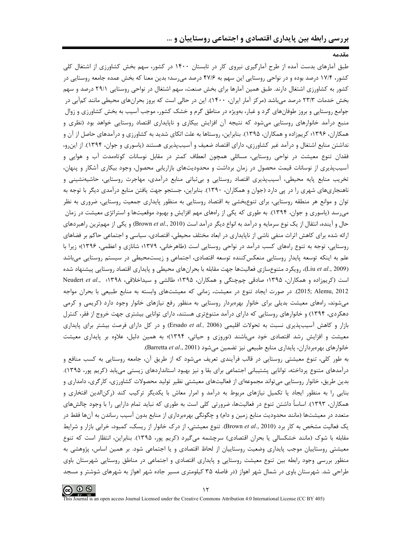وقدوه

طبق آمارهای بدست آمده از طرح آمارگیری نیروی کار در تابستان ۱۴۰۰ در کشور، سهم بخش کشاورزی از اشتغال کلی کشور، ۱۷/۴ درصد بوده و در نواحی روستایی این سهم به ۴۷/۶ درصد می سد؛ بدین معنا که بخش عمده جامعه روستایی در کشور به کشاورزی اشتغال دارند. طبق همین آمارها برای بخش صنعت، سهم اشتغال در نواحی روستایی ۲۹/۱ درصد و سهم بخش خدمات ۲۳/۳ درصد می باشد (مرکز آمار ایران، ۱۴۰۰). این در حالی است که بروز بحرانهای محیطی مانند کمآبی در جوامع روستایی و بروز طوفانهای گرد و غبار، بهویژه در مناطق گرم و خشک کشور، موجب آسیب به بخش کشاورزی و زوال منبع درآمد خانوارهای روستایی میشود که نتیجه آن افزایش بیکاری و ناپایداری اقتصاد روستایی خواهد بود (نظری و همکاران، ۱۳۹۶؛ کریم;اده و همکاران، ۱۳۹۵). بنابراین، روستاها به علت اتکای شدید به کشاورزی و درآمدهای حاصل از آن و نداشتن منابع اشتغال و درآمد غیر کشاورزی، دارای اقتصاد ضعیف و آسیبپذیری هستند (یاسوری و جوان، ۱۳۹۴). از این و، فقدان تنوع معیشت در نواحی روستایی، مسائلی همچون انعطاف کمتر در مقابل نوسانات کوتاهمدت آب و هوایی و آسیب پذیری از نوسانات قیمت محصول در زمان برداشت و محدودیتهای بازاریابی محصول، وجود بیکاری آشکار و پنهان، تخریب منابع پایه محیطی، آسیبپذیری اقتصاد روستایی و بی ثباتی منابع درآمدی، مهاجرت روستایی، حاشیهنشینی و ناهنجاریهای شهری را در پی دارد (جوان و همکاران، ۱۳۹۰). بنابراین، جستجو جهت یافتن منابع درآمدی دیگر با توجه به توان و موانع هر منطقه روستایی، برای تنوعبخشی به اقتصاد روستایی به منظور پایداری جمعیت روستایی، ضروری به نظر میرسد (پاسوری و جوان، ۱۳۹۴). به طوری که یکی از راههای مهم افزایش و بهبود موقعیتها و استراتژی معیشت در زمان حال و آینده، انتقال از یک نوع سرمایه و درآمد به انواع دیگر درآمد است (Brown et al., 2010) و یکی از مهمترین راهبردهای ارائه شده برای کاهش اثرات منفی ناشی از ناپایداری در ابعاد مختلف محیطی، اقتصادی، سیاسی و اجتماعی حاکم بر فضاهای روستایی، توجه به تنوع راههای کسب درآمد در نواحی روستایی است (طاهرخانی، ۱۳۷۹؛ شانازی و اعظمی، ۱۳۹۶)؛ زیرا با علم به اینکه توسعه پایدار روستایی منعکسکننده توسعه اقتصادی، اجتماعی و زیستمحیطی در سیستم روستایی میباشد (Liu et al., 2009)، رویکرد متنوعسازی فعالیتها جهت مقابله با بحرانهای محیطی و پایداری اقتصاد روستایی پیشنهاد شده است (کریمزاده و همکاران، ۱۳۹۵؛ صادقی چمچنگی و همکاران، ۱۳۹۵؛ طالشی و سیداخلاقی، ۱۳۹۸؛ Reudert et al., ۱۳۹۸ 2012 ,2015; Alemu). در صورت ايجاد تنوع در معيشت، زماني كه معيشتهاي وابسته به منابع طبيعي با بحران مواجه میشوند، راههای معیشت بدیلی برای خانوار بهرهبردار روستایی به منظور رفع نیازهای خانوار وجود دارد (کریمی و کرمی دهکردی، ۱۳۹۴) و خانوارهای روستایی که دارای درآمد متنوعتری هستند، دارای توانایی بیشتری جهت خروج از فقر، کنترل بازار و کاهش آسیبپذیری نسبت به تحولات اقلیمی (Ersado et al., 2006) و در کل دارای فرصت بیشتر برای پایداری معیشت و افزایش رشد اقتصادی خود میباشند (نوروزی و حیاتی، ۱۳۹۴)؛ به همین دلیل، علاوه بر پایداری معیشت خانوارهای بهرهبرداران، پایداری منابع طبیعی نیز تضمین می شود (Barretta et al., 2001).

به طور کلی، تنوع معیشتی روستایی در قالب فرآیندی تعریف می شود که از طریق آن، جامعه روستایی به کسب منافع و درآمدهای متنوع پرداخته، توانایی پشتیبانی اجتماعی برای بقا و نیز بهبود استانداردهای زیستی می،پابد (کریم پور، ۱۳۹۵). بدین طریق، خانوار روستایی می تواند مجموعهای از فعالیتهای معیشتی نظیر تولید محصولات کشاورزی، کارگری، دامداری و بنایی را به منظور ایجاد یا تکمیل نیازهای مربوط به درآمد و امرار معاش با یکدیگر ترکیب کند (رکن|لدین افتخاری و همکاران، ۱۳۹۳). اساساً داشتن تنوع در فعالیتها، ضرورتی کلی است به طوری که نباید تمام دارایی را با وجود چالشهای متعدد در معیشتها (مانند محدودیت منابع زمین و دام) و چگونگی بهرمبرداری از منابع بدون آسیب رساندن به آنها فقط در یک فعالیت مشخص به کار برد (Brown et al., 2010). تنوع معیشتی، از درک خانوار از ریسک، کمبود، خرابی بازار و شرایط مقابله با شوک (مانند خشکسالی یا بحران اقتصادی) سرچشمه میگیرد (کریم پور، ۱۳۹۵). بنابراین، انتظار است که تنوع معیشتی روستاییان موجب پایداری وضعیت روستاییان از لحاظ اقتصادی و یا اجتماعی شود. بر همین اساس، پژوهشی به منظور بررسی وجود رابطه بین تنوع معیشت روستایی و پایداری اقتصادی و اجتماعی در مناطق روستایی شهرستان باوی طراحی شد. شهرستان باوی در شمال شهر اهواز (در فاصله ۳۵ کیلومتری مسیر جاده شهر اهواز به شهرهای شوشتر و مسجد

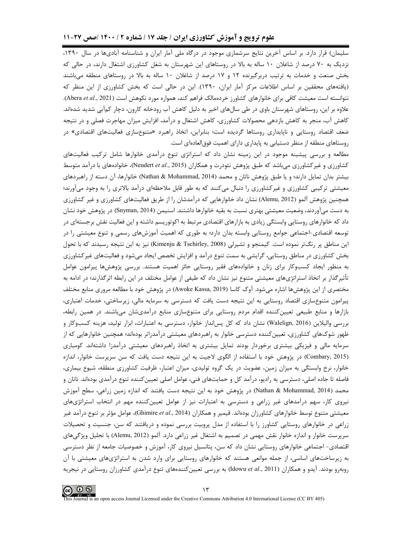سلیمان) قرار دارد. بر اساس آخرین نتایج سرشماری موجود در درگاه ملی آمار ایران و شناسنامه آبادیها در سال ۱۳۹۰، نزدیک به ۷۰ درصد از شاغلان ۱۰ ساله به بالا در روستاهای این شهرستان به شغل کشاورزی اشتغال دارند، در حالی که بخش صنعت و خدمات به ترتیب دربرگیرنده ۱۲ و ۱۷ درصد از شاغلان ۱۰ ساله به بالا در روستاهای منطقه می باشند (یافتههای محققین بر اساس اطلاعات مرکز آمار ایران، ۱۳۹۰). این در حالی است که بخش کشاورزی از این منظر که نتوانسته است معیشت کافی برای خانوارهای کشاورز خردهمالک فراهم کند، همواره مورد نکوهش است (Abera et al., 2021). علاوه بر این، روستاهای شهرستان باوی در طی سالهای اخیر به دلیل کاهش آب رودخانه کارون، دچار کمآبی شدید شدهاند. کاهش آب، منجر به کاهش بازدهی محصولات کشاورزی، کاهش اشتغال و درآمد، افزایش میزان مهاجرت فصلی و در نتیجه ضعف اقتصاد روستایی و ناپایداری روستاها گردیده است؛ بنابراین، اتخاذ راهبرد «متنوعسازی فعالیتهای اقتصادی» در روستاهای منطقه از منظر دستیابی به پایداری دارای اهمیت فوق|لعادهای است.

مطالعه و بررسی پیشینه موجود در این زمینه نشان داد که استراتژی تنوع درآمدی خانوارها شامل ترکیب فعالیتهای کشاورزی و غیرکشاورزی میباشد که طبق پژوهش نئودرت و همکاران (Neudert et al., 2015)، خانوادههای با درآمد متوسط بیشتر بدان تمایل دارند؛ و یا طبق پژوهش ناتان و محمد (Nathan & Mohammad, 2014) خانوارها، آن دسته از راهبردهای معیشتی ترکیبی کشاورزی و غیرکشاورزی را دنبال میکنند که به طور قابل ملاحظهای درآمد بالاتری را به وجود میآورند؛ همچنین پژوهش آلمو (Alemu, 2012) نشان داد خانوارهایی که درآمدشان را از طریق فعالیتهای کشاورزی و غیر کشاورزی به دست میآوردند، وضعیت معیشتی بهتری نسبت به بقیه خانوارها داشتند. اسنیمن (Snyman, 2014) در پژوهش خود نشان داد که خانوارهای روستایی وابستگی زیادی به بازارهای اقتصادی مرتبط به اکوتوریسم داشته و این فعالیت نقش برجستهای در توسعه اقتصادی-اجتماعی جوامع روستایی وابسته بدان دارد؛ به طوری که اهمیت آموزشهای رسمی و تنوع معیشتی را در این مناطق پر رنگتر نموده است. کیمنجو و تشیرلی (Kimenju & Tschirley, 2008) نیز به این نتیجه رسیدند که با تحول بخش کشاورزی در مناطق روستایی، گرایشی به سمت تنوع درآمد و افزایش تخصص ایجاد میشود و فعالیتهای غیرکشاورزی به منظور ایجاد کسبوکار برای زنان و خانوادههای فقیر روستایی حائز اهمیت هستند. بررسی پژوهشها پیرامون عوامل تأثیرگذار بر اتخاذ استراتژیهای معیشتی متنوع نیز نشان داد که طیفی از عوامل مختلف در این رابطه اثرگذارند؛ در ادامه به مختصري از اين پژوهشها اشاره ميشود. آوک کاسا (Awoke Kassa, 2019) در پژوهش خود با مطالعه مروري منابع مختلف پیرامون متنوعسازی اقتصاد روستایی به این نتیجه دست یافت که دسترسی به سرمایه مالی، زیرساختی، خدمات اعتباری، بازارها و منابع طبیعی تعیین کننده اقدام مردم روستایی برای متنوعسازی منابع درآمدیشان میباشند. در همین رابطه، بررسی والیلاین (Walelign, 2016) نشان داد که کل پسانداز خانوار، دسترسی به اعتبارات، ابزار تولید، هزینه کسبوکار و ظهور شوکهای کشاورزی، تعیینکننده دسترسی خانوار به راهبردهای معیشتی درآمدزاتر بودهاند؛ همچنین خانوارهایی که از سرمایه مالی و فیزیکی بیشتری برخوردار بودند تمایل بیشتری به اتخاذ راهبردهای معیشتی درآمدزا داشتهاند. کومباری (Combary, 2015) در پژوهش خود با استفاده از الگوی لاجیت به این نتیجه دست یافت که سن سرپرست خانوار، اندازه خانوار، نرخ وابستگی به میزان زمین، عضویت در یک گروه تولیدی، میزان اعتبار، ظرفیت کشاورزی منطقه، شیوع بیماری، فاصله تا جاده اصلی، دسترسی به رادیو، درآمد کل و حمایتهای فنی، عوامل اصلی تعیینکننده تنوع درآمدی بودهاند. ناتان و محمد (Nathan & Mohammad, 2014) در پژوهش خود به این نتیجه دست یافتند که اندازه زمین زراعی، سطح آموزش نیروی کار، سهم درآمدهای غیر زراعی و دسترسی به اعتبارات نیز از عوامل تعیینکننده مهم در انتخاب استراتژیهای معیشتی متنوع توسط خانوارهای کشاورزان بودهاند. قیمیر و همکاران (Ghimire *et al.*, 2014)، عوامل مؤثر بر تنوع درآمد غیر زراعی در خانوارهای روستایی کشاورز را با استفاده از مدل پروبیت بررسی نموده و دریافتند که سن، جنسیت و تحصیلات سرپرست خانوار و اندازه خانوار نقش مهمی در تصمیم به اشتغال غیر زراعی دارد. آلمو (Alemu, 2012) با تحلیل ویژگیهای اقتصادی- اجتماعی خانوارهای روستایی نشان داد که سن، پتانسیل نیروی کار، آموزش و خصوصیات جامعه از نظر دسترسی به زیرساختهای اساسی، از جمله موانعی هستند که خانوارهای روستایی برای وارد شدن به استراتژیهای معیشتی با آن روبهرو بودند. آيدو و همكاران (Idowu *et al.*, 2011) به بررسي تعيين كنندههاي تنوع درآمدي كشاورزان روستايي در نيجريه

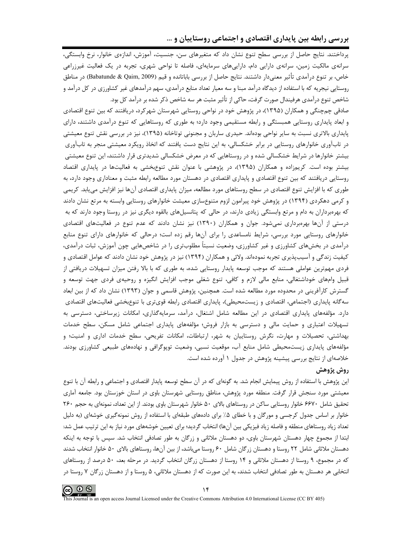## بررسی رابطه بین پایداری اقتصادی و اجتماعی روستاییان و …

پرداختند. نتایج حاصل از بررسی سطح تنوع نشان داد که متغیرهای سن، جنسیت، آموزش، اندازهی خانوار، نرخ وابستگی، سرانهی مالکیت زمین، سرانهی دارایی دام، داراییهای سرمایهای، فاصله تا نواحی شهری، تجربه در یک فعالیت غیرزراعی خاص، بر تنوع درآمدی تأثیر معنیدار داشتند. نتایج حاصل از بررسی باباتانده و قیم (Babatunde & Qaim, 2009) در مناطق روستایی نیجریه که با استفاده از دیدگاه درآمد مبنا و سه معیار تعداد منابع درآمدی، سهم درآمدهای غیر کشاورزی در کل درآمد و شاخص تنوع درآمدي هرفيندال صورت گرفت، حاكي از تأثير مثبت هر سه شاخص ذكر شده بر درآمد كل بود.

صادقی چمچنگی و همکاران (۱۳۹۵)، در پژوهش خود در نواحی روستایی شهرستان شهرکرد، دریافتند که بین تنوع اقتصادی و ابعاد پایداری روستایی همبستگی و رابطه مستقیمی وجود دارد؛ به طوری که روستاهایی که تنوع درآمدی داشتند، دارای پایداری بالاتری نسبت به سایر نواحی بودهاند. حیدری ساربان و مجنونی توتاخانه (۱۳۹۵)، نیز در بررسی نقش تنوع معیشتی در تابآوری خانوارهای روستایی در برابر خشکسالی، به این نتایج دست یافتند که اتخاذ رویکرد معیشتی منجر به تابآوری بیشتر خانوارها در شرایط خشکسالی شده و در روستاهایی که در معرض خشکسالی شدیدتری قرار داشتند، این تنوع معیشتی بیشتر بوده است. کریمزاده و همکاران (۱۳۹۵)، در پژوهشی با عنوان نقش تنوعبخشی به فعالیتها در پایداری اقتصاد روستایی دریافتند که بین تنوع اقتصادی و پایداری اقتصادی در دهستان مورد مطالعه رابطه مثبت و معناداری وجود دارد، به طوری که با افزایش تنوع اقتصادی در سطح روستاهای مورد مطالعه، میزان پایداری اقتصادی آنها نیز افزایش می،پابد. کریمی و کرمی دهکردی (۱۳۹۴) در پژوهش خود پیرامون لزوم متنوعسازی معیشت خانوارهای روستایی وابسته به مرتع نشان دادند که بهرهبرداران به دام و مرتع وابستگی زیادی دارند، در حالی که پتانسیلهای بالقوه دیگری نیز در روستا وجود دارند که به درستی از آنها بهرهبرداری نمی شود. جوان و همکاران (۱۳۹۰) نیز نشان دادند که عدم تنوع در فعالیتهای اقتصادی خانوارهای روستایی مورد بررسی، شرایط نامساعدی را برای آنها رقم زده است؛ درحالی که خانوارهای دارای تنوع منابع درآمدی در بخشهای کشاورزی و غیر کشاورزی، وضعیت نسبتاً مطلوبتری را در شاخصهایی چون آموزش، ثبات درآمدی، کیفیت زندگی و آسیبپذیری تجربه نمودهاند. ولائی و همکاران (۱۳۹۴) نیز در پژوهش خود نشان دادند که عوامل اقتصادی و فردی مهم;ترین عواملی هستند که موجب توسعه پایدار روستایی شده، به طوری که با بالا رفتن میزان تسهیلات دریافتی از قبیل وامهای خوداشتغالی، منابع مالی لازم و کافی، تنوع شغلی موجب افزایش انگیزه و روحیهی فردی جهت توسعه و گسترش کارآفرینی در محدوده مورد مطالعه شده است. همچنین، پژوهش قاسمی و جوان (۱۳۹۳) نشان داد که از بین ابعاد سه گانه پایداری (اجتماعی، اقتصادی و زیستمحیطی)، پایداری اقتصادی رابطه قویتری با تنوع,بخشی فعالیتهای اقتصادی دارد. مؤلفههای پایداری اقتصادی در این مطالعه شامل اشتغال، درآمد، سرمایهگذاری، امکانات زیرساختی، دسترسی به تسهیلات اعتباری و حمایت مالی و دسترسی به بازار فروش؛ مؤلفههای پایداری اجتماعی شامل مسکن، سطح خدمات بهداشتی، تحصیلات و مهارت، نگرش روستاییان به شهر، ارتباطات، امکانات تفریحی، سطح خدمات اداری و امنیت؛ و مؤلفههای پایداری زیستمحیطی شامل منابع آب، موقعیت نسبی، وضعیت توپوگرافی و نهادههای طبیعی کشاورزی بودند. خلاصهای از نتایج بررسی پیشینه پژوهش در جدول ۱ آورده شده است.

## روش پژوهش

این پژوهش با استفاده از روش پیمایش انجام شد. به گونهای که در آن سطح توسعه پایدار اقتصادی و اجتماعی و رابطه آن با تنوع معیشتی مورد سنجش قرار گرفت. منطقه مورد پژوهش، مناطق روستایی شهرستان باوی در استان خوزستان بود. جامعه آماری تحقیق شامل ۶۶۷۰ خانوار روستایی ساکن در روستاهای بالای ۵۰ خانوار شهرستان باوی بودند. از این تعداد، نمونهای به حجم ۲۶۰ خانوار بر اساس جدول کرجسی و مورگان و با خطای ۵٪ برای دادههای طبقهای با استفاده از روش نمونهگیری خوشهای (به دلیل تعداد زیاد روستاهای منطقه و فاصله زیاد فیزیکی بین آنها) انتخاب گردید؛ برای تعیین خوشههای مورد نیاز به این ترتیب عمل شد: ابتدا از مجموع چهار دهستان شهرستان باوی، دو دهستان ملاثانی و زرگان به طور تصادفی انتخاب شد. سپس با توجه به اینکه دهستان ملاثانی شامل ۲۲ روستا و دهستان زرگان شامل ۶۰ روستا می باشد، از بین آنها، روستاهای بالای ۵۰ خانوار انتخاب شدند که در مجموع، ۹ روستا از دهستان ملاثانی و ۱۴ روستا از دهستان زرگان انتخاب گردید. در مرحله بعد، ۵۰ درصد از روستاهای انتخابی هر دهستان به طور تصادفی انتخاب شدند، به این صورت که از دهستان ملاثانی، ۵ روستا و از دهستان زرگان ۷ روستا در

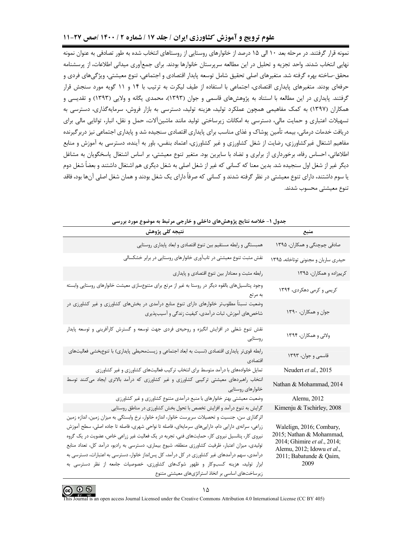#### علوم ترویج و آموزش کشاورزی ایران / جلد ۱۷ / شماره ۲ / ۱۴۰۰ /صص ۲۷-۱۱

نمونه قرار گرفتند. در مرحله بعد ۱۰ الی ۱۵ درصد از خانوارهای روستایی از روستاهای انتخاب شده به طور تصادفی به عنوان نمونه نهایی انتخاب شدند. واحد تجزیه و تحلیل در این مطالعه سرپرستان خانوارها بودند. برای جمعآوری میدانی اطلاعات، از پرسشنامه محقق-ساخته بهره گرفته شد. متغیرهای اصلی تحقیق شامل توسعه پایدار اقتصادی و اجتماعی، تنوع معیشتی، ویژگی های فردی و حرفهای بودند. متغیرهای پایداری اقتصادی، اجتماعی با استفاده از طیف لیکرت به ترتیب با ۱۴ و ۱۱ گویه مورد سنجش قرار گرفتند. پایداری در این مطالعه با استناد به پژوهشهای قاسمی و جوان (۱۳۹۳)، محمدی یگانه و ولایی (۱۳۹۳) و تقدیسی و همکاران (۱۳۹۷) به کمک مفاهیمی همچون عملکرد تولید، هزینه تولید، دسترسی به بازار فروش، سرمایهگذاری، دسترسی به تسهیلات اعتباری و حمایت مالی، دسترسی به امکانات زیرساختی تولید مانند ماشین آلات، حمل و نقل، انبار، توانایی مالی برای دریافت خدمات درمانی، بیمه، تأمین پوشاک و غذای مناسب برای پایداری اقتصادی سنجیده شد و پایداری اجتماعی نیز دربرگیرنده مفاهیم اشتغال غیرکشاورزی، رضایت از شغل کشاورزی و غیر کشاورزی، اعتماد بنفس، باور به آینده، دسترسی به آموزش و منابع اطلاعاتی، احساس رفاه، برخورداری از برابری و تضاد با سایرین بود. متغیر تنوع معیشتی، بر اساس اشتغال پاسخگویان به مشاغل دیگر غیر از شغل اول سنجیده شد. بدین معنا که کسانی که غیر از شغل اصلی به شغل دیگری هم اشتغال داشتند و بعضاً شغل دوم یا سوم داشتند، دارای تنوع معیشتی در نظر گرفته شدند و کسانی که صرفاً دارای یک شغل بودند و همان شغل اصلی آنها بود، فاقد تنوع معيشتي محسوب شدند.

|                                                                                                                                                      | بتدون المستخدمة تعايي پروسس سای تا سعی و ساز بنی مرتبت به موضوع مورد بررسی                                                                                                                                                                                                                                                                                                                                                                                                                                                                                                                                                                            |
|------------------------------------------------------------------------------------------------------------------------------------------------------|-------------------------------------------------------------------------------------------------------------------------------------------------------------------------------------------------------------------------------------------------------------------------------------------------------------------------------------------------------------------------------------------------------------------------------------------------------------------------------------------------------------------------------------------------------------------------------------------------------------------------------------------------------|
| منبع                                                                                                                                                 | نتيجه كلى پژوهش                                                                                                                                                                                                                                                                                                                                                                                                                                                                                                                                                                                                                                       |
| صادقی چمچنگی و همکاران، ۱۳۹۵                                                                                                                         | همبستگي و رابطه مستقيم بين تنوع اقتصادي و ابعاد پايداري روستايي                                                                                                                                                                                                                                                                                                                                                                                                                                                                                                                                                                                       |
| حیدری ساربان و مجنونی توتاخانه، ۱۳۹۵                                                                                                                 | نقش مثبت تنوع معیشتی در تاب آوری خانوارهای روستایی در برابر خشکسالی                                                                                                                                                                                                                                                                                                                                                                                                                                                                                                                                                                                   |
| کریمزاده و همکاران، ۱۳۹۵                                                                                                                             | رابطه مثبت و معنادار بين تنوع اقتصادي و پايداري                                                                                                                                                                                                                                                                                                                                                                                                                                                                                                                                                                                                       |
| کریمی و کرمی دهکردی، ۱۳۹۴                                                                                                                            | وجود پتانسیلهای بالقوه دیگر در روستا به غیر از مرتع برای متنوعسازی معیشت خانوارهای روستایی وابسته<br>به مرتع                                                                                                                                                                                                                                                                                                                                                                                                                                                                                                                                          |
| جوان و همکاران، ۱۳۹۰                                                                                                                                 | وضعیت نسبتاً مطلوبتر خانوارهای دارای تنوع منابع درآمدی در بخشهای کشاورزی و غیر کشاورزی در<br>شاخصهای آموزش، ثبات درآمدی، کیفیت زندگی و آسیبپذیری                                                                                                                                                                                                                                                                                                                                                                                                                                                                                                      |
| ولائی و همکاران، ۱۳۹۴                                                                                                                                | نقش تنوع شغلی در افزایش انگیزه و روحیهی فردی جهت توسعه و گسترش کارآفرینی و توسعه پایدار<br>روستايي                                                                                                                                                                                                                                                                                                                                                                                                                                                                                                                                                    |
| قاسمي و جوان، ١٣٩٣                                                                                                                                   | رابطه قوی تر پایداری اقتصادی (نسبت به ابعاد اجتماعی و زیستمحیطی پایداری) با تنوعِبخشی فعالیتهای<br>اقتصادى                                                                                                                                                                                                                                                                                                                                                                                                                                                                                                                                            |
| Neudert et al., 2015                                                                                                                                 | تمایل خانوادههای با درآمد متوسط برای انتخاب ترکیب فعالیتهای کشاورزی و غیر کشاورزی                                                                                                                                                                                                                                                                                                                                                                                                                                                                                                                                                                     |
| Nathan & Mohammad, 2014                                                                                                                              | انتخاب راهبردهای معیشتی ترکیبی کشاورزی و غیر کشاورزی که درآمد بالاتری ایجاد میکنند توسط<br>خانوارهای روستایی                                                                                                                                                                                                                                                                                                                                                                                                                                                                                                                                          |
| Alemu, 2012                                                                                                                                          | وضعیت معیشتی بهتر خانوارهای با منبع درآمدی متنوع کشاورزی و غیر کشاورزی                                                                                                                                                                                                                                                                                                                                                                                                                                                                                                                                                                                |
| Kimenju & Tschirley, 2008                                                                                                                            | گرایش به تنوع درآمد و افزایش تخصص با تحول بخش کشاورزی در مناطق روستایی                                                                                                                                                                                                                                                                                                                                                                                                                                                                                                                                                                                |
| Walelign, 2016; Combary,<br>2015; Nathan & Mohammad,<br>2014; Ghimire et al., 2014;<br>Alemu, 2012; Idowu et al.,<br>2011; Babatunde & Qaim,<br>2009 | اثرگذاری سن، جنسیت و تحصیلات سرپرست خانوار، اندازه خانوار، نرخ وابستگی به میزان زمین، اندازه زمین<br>زراعی، سرانهی دارایی دام، داراییهای سرمایهای، فاصله تا نواحی شهری، فاصله تا جاده اصلی، سطح آموزش<br>نیروی کار، پتانسیل نیروی کار، حمایتهای فنی، تجربه در یک فعالیت غیر زراعی خاص، عضویت در یک گروه<br>تولیدی، میزان اعتبار، ظرفیت کشاورزی منطقه، شیوع بیماری، دسترسی به رادیو، درآمد کل، تعداد منابع<br>درآمدی، سهم درآمدهای غیر کشاورزی در کل درآمد، کل پس نداز خانوار، دسترسی به اعتبارات، دسترسی به<br>ابزار تولید، هزینه کسبوکار و ظهور شوکهای کشاورزی، خصوصیات جامعه از نظر دسترسی به<br>زیرساختهای اساسی بر اتخاذ استراتژیهای معیشتی متنوع |

حدول - خلاصه نتابج بثوهش های داخل و خارجی و تبط به ومضوع ومرد بررس



It is an open access Journal Licensed under the Creative Commons Attribution 4.0 International License (CC BY 405)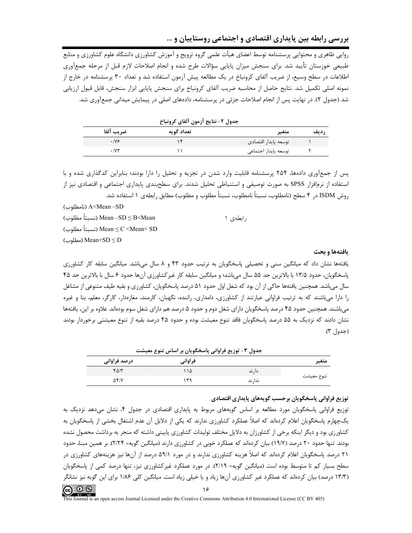روایی ظاهری و محتوایی پرسشنامه توسط اعضای هیأت علمی گروه ترویج و آموزش کشاورزی دانشگاه علوم کشاورزی و منابع طبیعی خوزستان تأیید شد. برای سنجش میزان پایایی سؤالات طرح شده و انجام اصلاحات لازم قبل از مرحله جمعآوری اطلاعات در سطح وسیع، از ضریب آلفای کرونباخ در یک مطالعه پیش آزمون استفاده شد و تعداد ۳۰ پرسشنامه در خارج از نمونه اصلی تکمیل شد. نتایج حاصل از محاسبه ضریب آلفای کرونباخ برای سنجش پایایی ابزار سنجش، قابل قبول ارزیابی شد (جدول ۲). در نهایت پس از انجام اصلاحات جزئی در پرسشنامه، دادههای اصلی در پیمایش میدانی جمعآوری شد.

|                      | جدول ٢- نتايج آزمون آلفاي كرونباخ |                      |      |
|----------------------|-----------------------------------|----------------------|------|
| ضريب آلفا            | تعداد گويه                        | متغير                | رديف |
| .199                 |                                   | توسعه پايدار اقتصادى |      |
| $\cdot$ / $\vee\tau$ |                                   | توسعه پايدار اجتماعي |      |

پس از جمعآوری دادهها، ۲۵۴ پرسشنامه قابلیت وارد شدن در تجزیه و تحلیل را دارا بودند؛ بنابراین کدگذاری شده و با استفاده از نرمافزار SPSS به صورت توصیفی و استنباطی تحلیل شدند. برای سطحبندی پایداری اجتماعی و اقتصادی نیز از روش ISDM در ۴ سطح (نامطلوب، نسبتاً نامطلوب، نسبتاً مطلوب و مطلوب) مطابق رابطهی ۱ استفاده شد.

(نامطلوب) A<Mean –SD

| Mean −SD ≤ B <mean (نسبتاً="" th="" مطلوب)<=""><th>ر ایطه ی ۱</th></mean> | ر ایطه ی ۱ |
|---------------------------------------------------------------------------|------------|
| (نسبتاً مطلوب) Mean $\leq$ C $\leq$ Mean $+$ SD                           |            |
| (مطلوب) Mean+SD $\leq$ D                                                  |            |

#### يافتهها و بحث

یافتهها نشان داد که میانگین سنی و تحصیلی پاسخگویان به ترتیب حدود ۴۳ و ۸ سال می باشد. میانگین سابقه کار کشاورزی ياسخگويان، حدود ۱۳/۵ با بالاترين حد ۵۵ سال مي باشد؛ و ميانگين سابقه کار غير کشاورزي آنها حدود ۶ سال با بالاترين حد ۴۵ سال میباشد. همچنین یافتهها حاکی از آن بود که شغل اول حدود ۵۱ درصد پاسخگویان، کشاورزی و بقیه طیف متنوعی از مشاغل را دارا می باشند که به ترتیب فراوانی عبارتند از کشاورزی، دامداری، راننده، نگهبان، کارمند، مغازهدار، کارگر، معلم، بنا و غیره میباشند. همچنین حدود ۴۵ درصد پاسخگویان دارای شغل دوم و حدود ۵ درصد هم دارای شغل سوم بودهاند. علاوه بر این، یافتهها نشان دادند که نزدیک به ۵۵ درصد پاسخگویان فاقد تنوع معیشت بوده و حدود ۴۵ درصد بقیه از تنوع معیشتی برخوردار بودند (جدول ٣).

|  |  |  | جدول ۳- توزیع فراوانی پاسخگویان بر اساس تنوع معیشت |  |
|--|--|--|----------------------------------------------------|--|
|  |  |  |                                                    |  |

| متغير      |         | فراواني | درصد فراوانی |
|------------|---------|---------|--------------|
|            | دا, ند  | ۱۵      | $f\Delta/T$  |
| تنوع معيشت | ندا, ند | ۳۹      | $\Delta f/V$ |

#### توزيع فراواني پاسخگويان برحسب گويههاي پايداري اقتصادي

توزیع فراوانی پاسخگویان مورد مطالعه بر اساس گویههای مربوط به پایداری اقتصادی در جدول ۴۰ نشان میدهد نزدیک به یکچهارم پاسخگویان اعلام کردهاند که اصلاً عملکرد کشاورزی ندارند که یکی از دلایل آن عدم اشتغال بخشی از پاسخگویان به کشاورزی بود و دیگر اینکه برخی از کشاورزان به دلایل مختلف تولیدات کشاورزی پایینی داشته که منجر به برداشت محصول نشده بودند. تنها حدود ۲۰ درصد (۱۹/۷) بیان کردهاند که عملکرد خوبی در کشاورزی دارند (میانگین گویه= ۲/۲۴). بر همین مبنا، حدود ۲۱ درصد پاسخگویان اعلام کردهاند که اصلاً هزینه کشاورزی ندارند و در مورد ۵۹/۱ درصد از آنها نیز هزینههای کشاورزی در سطح بسیار کم تا متوسط بوده است (میانگین گویه= ٢/١٩). در مورد عملکرد غیرکشاورزی نیز، تنها درصد کمی از پاسخگویان (۱۳/۳ درصد) بیان کردهاند که عملکرد غیر کشاورزی آنها زیاد و یا خیلی زیاد است. میانگین کلی ۱/۸۶ برای این گویه نیز نشانگر

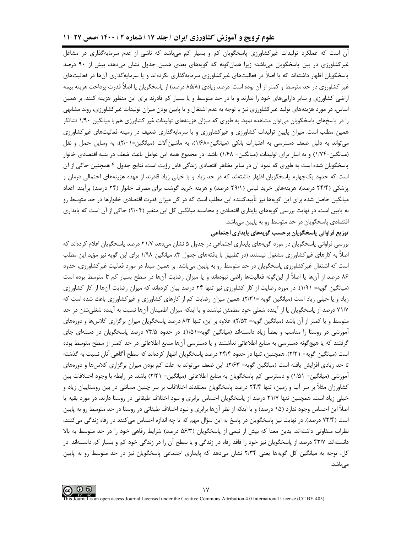آن است که عملکرد تولیدات غیرکشاورزی پاسخگویان کم و بسیار کم میباشد که ناشی از عدم سرمایهگذاری در مشاغل غیرکشاورزی در بین پاسخگویان میباشد؛ زیرا همانگونه که گویههای بعدی همین جدول نشان میدهد، بیش از ۹۰ درصد پاسخگویان اظهار داشتهاند که یا اصلاً در فعالیتهای غیرکشاورزی سرمایهگذاری نکردهاند و یا سرمایهگذاری آنها در فعالیتهای غیر کشاورزی در حد متوسط و کمتر از آن بوده است. درصد زیادی (۸۵/۸ درصد) از پاسخگویان یا اصلاً قدرت پرداخت هزینه بیمه اراضی کشاورزی و سایر داراییهای خود را ندارند و یا در حد متوسط و یا بسیار کم قادرند برای این منظور هزینه کنند. بر همین اساس، در مورد هزینههای تولید غیرکشاورزی نیز با توجه به عدم اشتغال و یا پایین بودن میزان تولیدات غیرکشاورزی، روند مشابهی را در پاسخهای پاسخگویان می¤وان مشاهده نمود. به طوری که میزان هزینههای تولیدات غیر کشاورزی هم با میانگین ۱/۹۰ نشانگر همین مطلب است. میزان پایین تولیدات کشاورزی و غیرکشاورزی و یا سرمایهگذاری ضعیف در زمینه فعالیتهای غیرکشاورزی می تواند به دلیل ضعف دسترسی به اعتبارات بانکی (میانگین=۱/۶۸)، به ماشینآلات (میانگین=۲/۰۱)، به وسایل حمل و نقل (میانگین=۱/۷۴) و به انبار برای تولیدات (میانگین= ۱/۶۸) باشد. در مجموع همه این عوامل باعث ضعف در بنیه اقتصادی خانوار پاسخگویان شده است به طوری که نمود آن در سایر مظاهر اقتصادی زندگی قابل رؤیت است. نتایج جدول ۴ همچنین حاکی از آن است که حدود یکچهارم پاسخگویان اظهار داشتهاند که در حد زیاد و یا خیلی زیاد قادرند از عهده هزینههای احتمالی درمان و پزشکی (۲۴/۴ درصد)، هزینههای خرید لباس (۲۹/۱ درصد) و هزینه خرید گوشت برای مصرف خانوار (۲۴ درصد) برآیند. اعداد میانگین حاصل شده برای این گویهها نیز تأییدکننده این مطلب است که در کل میزان قدرت اقتصادی خانوارها در حد متوسط رو به پایین است. در نهایت بررسی گویههای پایداری اقتصادی و محاسبه میانگین کل این متغیر (۲/۰۴) حاکی از آن است که پایداری اقتصادی پاسخگویان در حد متوسط رو به پایین میباشد.

#### توزيع فراواني پاسخگويان برحسب گويههاي پايداري اجتماعي

بررسی فراوانی پاسخگویان در مورد گویههای پایداری اجتماعی در جدول ۵ نشان میدهد ۲۱/۷ درصد پاسخگویان اعلام کردهاند که اصلاً به کارهای غیر کشاورزی مشغول نیستند (در تطبیق با یافتههای جدول ۳). میانگین ۱/۹۸ برای این گویه نیز مؤید این مطلب است که اشتغال غیرکشاورزی پاسخگویان در حد متوسط رو به پایین میباشد. بر همین مبنا، در مورد فعالیت غیرکشاورزی، حدود ۸۶ درصد از آنها یا اصلاً از این گونه فعالیتها راضی نبودهاند و یا میزان رضایت آنها در سطح بسیار کم تا متوسط بوده است (میانگین گویه= ۱/۹۱). در مورد رضایت از کار کشاورزی نیز تنها ۲۴ درصد بیان کردهاند که میزان رضایت آنها از کار کشاورزی زیاد و یا خیلی زیاد است (میانگین گویه =۲/۳۱). همین میزان رضایت کم از کارهای کشاورزی و غیرکشاورزی باعث شده است که ٧١/٧ درصد از پاسخگویان یا از آینده شغلی خود مطمئن نباشند و یا اینکه میزان اطمینان آنها نسبت به آینده شغلیشان در حد متوسط و یا کمتر از آن باشد (میانگین گویه= ۲/۵۳)؛ علاوه بر این، تنها ۸/۳ درصد پاسخگویان میزان برگزاری کلاس۵ما و دورههای آموزشی در روستا را مناسب و بعضاً زیاد دانستهاند (میانگین گویه=۱/۵۱). در حدود ۷۳/۵ درصد پاسخگویان در دستهای جای گرفتند که یا هیچگونه دسترسی به منابع اطلاعاتی نداشتند و یا دسترسی آنها منابع اطلاعاتی در حد کمتر از سطح متوسط بوده است (میانگین گویه= ۲/۲۱). همچنین، تنها در حدود ۲۴/۴ درصد پاسخگویان اظهار کردهاند که سطح آگاهی آنان نسبت به گذشته تا حد زیادی افزایش یافته است (میانگین گویه= ۲/۶۳). این ضعف میتواند به علت کم بودن میزان برگزاری کلاسها و دورههای آموزشی (میانگین= ۱/۵۱) و دسترسی کم پاسخگویان به منابع اطلاعاتی (میانگین= ۲/۲۱) باشد. در رابطه با وجود اختلافات بین کشاورزان مثلاً بر سر آب و زمین، تنها ۲۴/۴ درصد پاسخگویان معتقدند اختلافات بر سر چنین مسائلی در بین روستاییان زیاد و خیلی زیاد است. همچنین تنها ۲۱/۷ درصد از پاسخگویان احساس برابری و نبود اختلاف طبقاتی در روستا دارند. در مورد بقیه یا اصلاً این احساس وجود ندارد (۱۵ درصد) و یا اینکه از نظر آنها برابری و نبود اختلاف طبقاتی در روستا در حد متوسط رو به پایین است (۷۲/۴ درصد). در نهایت نیز پاسخگویان در پاسخ به این سؤال مهم که تا چه اندازه احساس می کنند در رفاه زندگی می کنند، نظرات متفاوتی داشتهاند. بدین معنا که بیش از نیمی از پاسخگویان (۵۶/۳ درصد) شرایط رفاهی خود را در حد متوسط به بالا دانستهاند. ۴۳/۷ درصد از پاسخگویان نیز خود را فاقد رفاه در زندگی و یا سطح آن را در زندگی خود کم و بسیار کم دانستهاند. در کل، توجه به میانگین کل گویهها یعنی ۲/۳۴ نشان میدهد که پایداری اجتماعی پاسخگویان نیز در حد متوسط رو به پایین مے باشد.

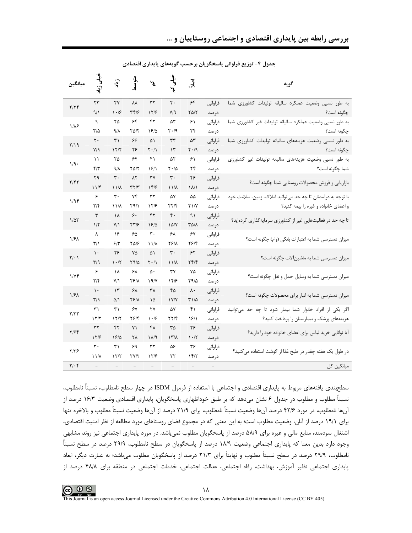|                      |                         |                                 |                          |                                 |                    |                               |         | جدول ۲– نوریع فراوانی پاسخگویان برخسب کویههای پایداری اقتصادی |
|----------------------|-------------------------|---------------------------------|--------------------------|---------------------------------|--------------------|-------------------------------|---------|---------------------------------------------------------------|
| ميانگين              | فیلی زیا                | $\frac{1}{2}$                   | متوسط<br>متوسط           | y                               |                    | $\bar{\mathcal{S}}$           |         | گويه                                                          |
|                      | ۲۳                      | ٢٧                              | ٨٨                       | ٣٢                              | ٢٠                 | ۶۴                            | فراواني | به طور نسبی وضعیت عملکرد سالیانه تولیدات کشاورزی شما          |
| Y/YF                 | ۹/۱                     | $\cdot$ /۶                      | ۳۴۱۶                     | 17/9                            | V/9                | $Y\Delta/Y$                   | درصد    | چگونه است؟                                                    |
|                      | ٩                       | ۲۵                              | ۶۴                       | ۴۲                              | ۵٣                 | ۶۱                            | فراواني | به طور نسبی وضعیت عملکرد سالیانه تولیدات غیر کشاورزی شما      |
| $1/\lambda$ ۶        | $\mathsf{r}\mathsf{d}$  | 9/                              | ۲۵/۲                     | 1810                            | $Y \cdot 19$       | ۲۴                            | درصد    | چگونه است؟                                                    |
|                      | ٢٠                      | ۳۱                              | ۶۶                       | ۵۱                              | ٣٣                 | ۵٣                            | فراواني | به طور نسبی وضعیت هزینههای سالیانه تولیدات کشاورزی شما        |
| Y/19                 | Y/9                     | 17/7                            | ۲۶                       | $\mathbf{Y} \cdot / \mathbf{V}$ | ۱۳                 | $\mathsf{Y} \cdot \mathsf{A}$ | درصد    | چگونه است؟                                                    |
|                      | $\setminus$             | ۲۵                              | ۶۴                       | ۴۱                              | ۵٢                 | ۶۱                            | فراواني | به طور نسبی وضعیت هزینههای سالیانه تولیدات غیر کشاورزی        |
| 1/9.                 | ۴۳                      | 9/1                             | ۲۵/۲                     | $\frac{5}{2}$                   | ۲۰/۵               | ۲۴                            | در صد   | شما چگونه است؟                                                |
|                      | ۲۹                      | $\mathbf{r}$ .                  | ۸۲                       | ٣٧                              | ٣٠                 | ۴۶                            | فراواني |                                                               |
| Y/FY                 | 11                      | $11/\lambda$                    | ۳۲/۳                     | 189                             | $11/\lambda$       | $\binom{1}{\binom{n}{2}}$     | در صد   | بازاریابی و فروش محصولات روستایی شما چگونه است؟               |
|                      | ۶                       | $\mathbf{\tau}\cdot$            | ۷۴                       | $\tau\tau$                      | ۵۷                 | ۵۵                            | فراواني | با توجه به درآمدتان تا چه حد میتوانید املاک، زمین، سلامت خود  |
| 1/9F                 | $\mathbf{Y}/\mathbf{F}$ | $11/\lambda$                    | ۲۹/۱                     | 17/9                            | YY/F               | $Y \frac{1}{Y}$               | درصد    | و اعضای خانواده و غیره را بیمه کنید؟                          |
|                      | $\mathbf{\breve{r}}$    | ۱۸                              | ۶۰                       | ۴٢                              | $\mathfrak{r}$ .   | ۹۱                            | فراواني |                                                               |
| $1/\Delta \tau$      | $1/\tau$                | Y/1                             | ۲۳/۶                     | 1810                            | $\frac{\Delta}{V}$ | <b>TAIA</b>                   | درصد    | تا چه حد در فعالیتهایی غیر از کشاورزی سرمایهگذاری کردهاید؟    |
|                      | λ                       | ۱۶                              | ۶۵                       | $\mathbf{r}$ .                  | ۶۸                 | ۶۷                            | فراواني |                                                               |
| 1/8 <sub>A</sub>     | $\mathbf{r}/\mathbf{r}$ | ۶۳                              | ۳۵۱۶                     | ۱۱/۸                            | ۲۶۱۸               | 7814                          | درصد    | میزان دسترسی شما به اعتبارات بانکی (وام) چگونه است؟           |
|                      | $\mathcal{L}$           | ۲۶                              | ٧۵                       | ۵۱                              | $\mathbf{r}$ .     | ۶۲                            | فراواني |                                                               |
| $\mathbf{Y}/\cdot$ ) | $\mathbf{r}/\mathbf{q}$ | $\mathcal{N} \cdot \mathcal{N}$ | ۲۹/۵                     | $\mathsf{Y} \cdot \mathsf{Y}$   | $11/\lambda$       | Yf/f                          | در صد   | میزان دسترسی شما به ماشین آلات چگونه است؟                     |
|                      | ۶                       | ١٨                              | ۶۸                       | ۵٠                              | ٣٧                 | ٧۵                            | فراواني |                                                               |
| 1/Yf                 | $\mathbf{Y}/\mathbf{F}$ | Y/1                             | <b>TSIA</b>              | 19/                             | 14/8               | Y9/2                          | در صد   | میزان دسترسی شما به وسایل حمل و نقل چگونه است؟                |
|                      | $\mathcal{L}$           | $\mathcal{L}$                   | ۶۸                       | ۳۸                              | ۴۵                 | ۸۰                            | فراوانى |                                                               |
| 1/8 <sub>A</sub>     | $\mathbf{r}/\mathbf{q}$ | $\Delta/\Lambda$                | <b>TSIA</b>              | ۱۵                              | I Y/Y              | ۳۱/۵                          | درصد    | میزان دسترسی شما به انبار برای محصولات چگونه است؟             |
|                      | ۳۱                      | ۳۱                              | ۶۷                       | ٢٧                              | ۵۷                 | ۴۱                            | فراواني | اگر یکی از افراد خانوار شما بیمار شود تا چه حد می توانید      |
| Y/YY                 | 17/7                    | 17/7                            | ۲۶۱۴                     | $\cdot$ /۶                      | 77/4               | 1811                          | درصد    | هزینههای پزشک و بیمارستان را پرداخت کنید؟                     |
|                      | ٣٢                      | ۴۲                              | ٧١                       | ۴۸                              | ٣۵                 | ۲۶                            | فراواني |                                                               |
| ۲/۶۴                 | 17/5                    | 18/0                            | ٢٨                       | $1/\sqrt{9}$                    | ۱۳/۸               | $\cdot$ /٢                    | درصد    | آیا توانایی خرید لباس برای اعضای خانواده خود را دارید؟        |
| $Y/Y$ ۶              | ٣٠                      | ۳۱                              | ۶۹                       | ٣٢                              | ۵۶                 | ۳۶                            | فراوانى |                                                               |
|                      | ۱۱/۸                    | 17/7                            | <b>TY/T</b>              | 17/9                            | ۲۲                 | 15/7                          | درصد    | در طول یک هفته چقدر در طبخ غذا از گوشت استفاده میکنید؟        |
| $Y/\cdot f$          | $\equiv$                | $\overline{\phantom{a}}$        | $\overline{\phantom{a}}$ | $\bar{ }$                       |                    | $\overline{\phantom{a}}$      |         | میانگین کل                                                    |

بررسی رابطه بین پایداری اقتصادی و اجتماعی روستاییان و …

دول ۴ - توزیع فراواز ریاسخ مجمولین در حسیب مجموعههای دارداری اقتصاد

سطحبندی یافتههای مربوط به پایداری اقتصادی و اجتماعی با استفاده از فرمول ISDM در چهار سطح نامطلوب، نسبتاً نامطلوب، نسبتاً مطلوب و مطلوب در جدول ۶ نشان میدهد که بر طبق خوداظهاری پاسخگویان، پایداری اقتصادی وضعیت ۱۶/۳ درصد از آنها نامطلوب، در مورد ۴۲/۶ درصد آنها وضعيت نسبتاً نامطلوب، براي ۲۱/۹ درصد از آنها وضعيت نسبتاً مطلوب و بالاخره تنها برای ۱۹/۱ درصد از آنان، وضعیت مطلوب است؛ به این معنی که در مجموع فضای روستاهای مورد مطالعه از نظر امنیت اقتصادی، اشتغال سودمند، منابع مالی و غیره برای ۵۸/۹ درصد از پاسخگویان مطلوب نمیباشد. در مورد پایداری اجتماعی نیز روند مشابهی وجود دارد بدین معنا که پایداری اجتماعی وضعیت ۱۸/۹ درصد از پاسخگویان در سطح نامطلوب، ۲۹/۹ درصد در سطح نسبتاً نامطلوب، ٢٩/٩ درصد در سطح نسبتاً مطلوب و نهایتاً برای ٢١/٣ درصد از پاسخگویان مطلوب میباشد؛ به عبارت دیگر، ابعاد پایداری اجتماعی نظیر آموزش، بهداشت، رفاه اجتماعی، عدالت اجتماعی، خدمات اجتماعی در منطقه برای ۴۸/۸ درصد از



This Journal is an open access Journal Licensed under the Creative Commons Attribution 4.0 International License (CC BY 405)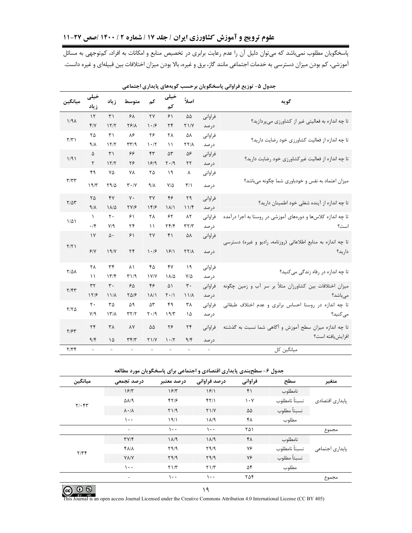آموزشی، کم بودن میزان دسترسی به خدمات اجتماعی مانند گاز، برق و غیره، بالا بودن میزان اختلافات بین قبیلهای و غیره دانست.

| گويه                                                          |         | اصلاً                      | خيلى<br>کم                           | كم                                       | متوسط                              | زياد                     | خیلی<br>زياد       | ميانگين             |
|---------------------------------------------------------------|---------|----------------------------|--------------------------------------|------------------------------------------|------------------------------------|--------------------------|--------------------|---------------------|
| تا چه اندازه به فعالیتی غیر از کشاورزی می پردازید؟            | فراواني | ۵۵                         | ۶۱                                   | ٢٧                                       | ۶۸                                 | $\uparrow$               | $\mathcal{N}$      | $1/9\lambda$        |
|                                                               | در صد   | $Y \frac{1}{Y}$            | ۲۴                                   | $\cdot$ /۶                               | $YF/\lambda$                       | 15/7                     | Y/Y                |                     |
| تا چه اندازه از فعالیت کشاورزی خود رضایت دارید؟               | فراواني | ۵٨                         | ٢٨                                   | ۲۶                                       | ٨۶                                 | $\mathsf{r}_1$           | ٢۵                 | $\Upsilon/\Upsilon$ |
|                                                               | در صد   | $YY/\lambda$               | ۱۱                                   | 1.7                                      | $\mathbf{r} \mathbf{r}/\mathbf{q}$ | 17/7                     | ۹/۸                |                     |
| تا چه اندازه از فعالیت غیرکشاورزی خود رضایت دارید؟            | فراواني | ۵۶                         | ۵٣                                   | ۴۳                                       | ۶۶                                 | $\uparrow$               | ۵                  | 1/91                |
|                                                               | در صد   | $\mathsf{Y}\mathsf{Y}$     | ۲۰/۹                                 | 19/9                                     | ۲۶                                 | 17/7                     | ٢                  |                     |
|                                                               | فراواني | ٨                          | ۱۹                                   | ۲۵                                       | ٧٨                                 | ٧۵                       | ۴۹                 |                     |
| میزان اعتماد به نفس و خودباوری شما چگونه میباشد؟              | در صد   | $\mathbf{r}/\mathbf{r}$    | $V/\Delta$                           | 9/1                                      | $\mathbf{r} \cdot \mathbf{N}$      | Y9/2                     | 19/7               | T/TT                |
|                                                               | فراواني | ٢٩                         | ۴۶                                   | $\mathsf{r}\mathsf{v}$                   | $\mathsf{v}\cdot$                  | YY                       | $\mathsf{Y}\Delta$ | $Y/\Delta Y$        |
| تا چه اندازه از آینده شغلی خود اطمینان دارید؟                 | درصد    | 11/5                       | $\binom{1}{\binom{n}{k}}$            | 15/5                                     | YY/F                               | $\Lambda/\Delta$         | 9/1                |                     |
| تا چه اندازه کلاسها و دورههای آموزشی در روستا به اجرا درآمده  | فراواني | ۸۲                         | ۶۲                                   | ٢٨                                       | ۶۱                                 | $\mathsf{r}\cdot$        | $\lambda$          | $1/\Delta$          |
| است؟                                                          | در صد   | $\tau\tau/\tau$            | $\mathbf{Y} \mathbf{F} / \mathbf{F}$ | $\setminus$                              | ۲۴                                 | V/9                      | $\cdot$ /۴         |                     |
| تا چه اندازه به منابع اطلاعاتی (روزنامه، رادیو و غیره) دسترسی | فراواني | ۵٨                         | ۴۱                                   | ٢٧                                       | ۶۱                                 | ۵۰                       | $\gamma$           | Y/Y                 |
| داريد؟                                                        | در صد   | $\Upsilon\Upsilon/\Lambda$ | 9                                    | $\cdot$ /۶                               | $\mathbf{r}$                       | 19/Y                     | 9/1                |                     |
| تا چه اندازه در رفاه زندگی می کنید؟                           | فراواني | ۱۹                         | ۴٧                                   | ۴۵                                       | ٨١                                 | $\tau$ ۴                 | ٢٨                 | $Y/\Delta\Lambda$   |
|                                                               | در صد   | $V/\Delta$                 | ۱۸/۵                                 | IV/V                                     | ۳۱/۹                               | 177                      | ۱۱                 |                     |
| میزان اختلافات بین کشاورزان مثلاً بر سر آب و زمین چگونه       | فراواني | ٣٠                         | ۵١                                   | ۴۶                                       | ۶۵                                 | $\mathbf{r}$ .           | $\tau\tau$         | Y/FY                |
| مىباشد؟                                                       | در صد   | $11/\lambda$               | $\mathsf{Y} \cdot \mathsf{Y}$        | $\lambda/\lambda$                        | 5018                               | $11/\lambda$             | 17/9               |                     |
| تا چه اندازه در روستا احساس برابری و عدم اختلاف طبقاتی        | فراواني | ٣٨                         | ۴۹                                   | ۵٣                                       | ۵۹                                 | ٣۵                       | $\mathsf{r}\cdot$  | $Y/Y$ $\Delta$      |
| مى كنيد؟                                                      | در صد   | ۱۵                         | 19/7                                 | $\mathbf{Y} \cdot \mathbf{1} \mathbf{q}$ | $\tau\tau/\tau$                    | $17/\lambda$             | $Y$ <sup>9</sup>   |                     |
| تا چه اندازه میزان سطح آموزش و آگاهی شما نسبت به گذشته        | فراواني | $\mathbf{Y}$               | ۲۶                                   | ۵۵                                       | ٨Y                                 | ٣٨                       | $\mathbf{r}$       | Y/5Y                |
| افزايش يافته است؟                                             | در صد   | 9/5                        | 1.7                                  | Y1/Y                                     | $\tau f/\tau$                      | ۱۵                       | 9/5                |                     |
| میانگین کل                                                    |         |                            |                                      |                                          |                                    | $\overline{\phantom{a}}$ |                    | Y/YF                |

| جدول ۵- توزیع فراوانی پاسخگویان برحسب گویههای پایداری اجتماعی |  |  |
|---------------------------------------------------------------|--|--|
|---------------------------------------------------------------|--|--|

جدول ۶- سطحبندی پایداری اقتصادی و اجتماعی برای پاسخگویان مورد مطالعه

| ميانگين        | درصد تجمعی                | درصد معتبر     | درصد فراوانی    | فراواني                         | سطح           | متغير           |
|----------------|---------------------------|----------------|-----------------|---------------------------------|---------------|-----------------|
|                | 15/T                      | 19/7           | 19/1            | ۴۱                              | نامطلوب       |                 |
| $Y/\cdot$ $Y'$ | $\Delta\lambda$ /9        | 57/5           | 57/1            | $\mathcal{N} \cdot \mathcal{N}$ | نسبتأ نامطلوب | پایداری اقتصادی |
|                | $\lambda \cdot / \lambda$ | Y1/9           | Y1/Y            | ۵۵                              | نسبتأ مطلوب   |                 |
|                | ۱۰۰                       | 19/1           | $1\lambda/9$    | ۴۸                              | مطلوب         |                 |
|                | $\overline{\phantom{0}}$  | ۰۰۱            | $\cdots$        | ۲۵۱                             |               | مجموع           |
|                | $\Upsilon V/\Upsilon$     | 1 <sup>A</sup> | $1\lambda/9$    | ۴۸                              | نامطلوب       |                 |
|                | $Y\Lambda/\Lambda$        | Y9/9           | Y9/9            | ٧۶                              | نسبتأ نامطلوب | پایداری اجتماعی |
| Y/YF           | <b>YA/Y</b>               | Y9/9           | Y9/9            | ٧۶                              | نسبتأ مطلوب   |                 |
|                | ۱۰۰                       | Y1/T           | $Y \frac{1}{T}$ | ۵۴                              | مطلوب         |                 |
|                | $\overline{\phantom{0}}$  | ۱۰۰            | ۱۰۰             | ۲۵۴                             |               | مجموع           |

al is an open access Journal Licensed under the Creative Commons Attribution 4.0 International License (CC BY 405)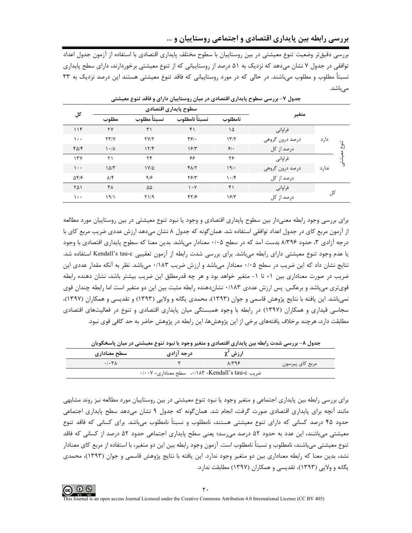بررسی دقیقتر وضعیت تنوع معیشتی در بین روستاییان با سطوح مختلف پایداری اقتصادی با استفاده از آزمون جدول اعداد توافقی در جدول ۷ نشان میدهد که نزدیک به ۵۱ درصد از روستاییانی که از تنوع معیشتی برخوردارند، دارای سطح پایداری نسبتاً مطلوب و مطلوب میباشند. در حالی که در مورد روستاییانی که فاقد تنوع معیشتی هستند این درصد نزدیک به ۳۳ مىباشد.

| کل                  |                           | سطوح پایداری اقتصادی |               |            |                 |       |      |
|---------------------|---------------------------|----------------------|---------------|------------|-----------------|-------|------|
|                     | مطلوب                     | نسبتأ مطلوب          | نسبتأ نامطلوب | نامطلوب    | متغير           |       |      |
| 11f                 | ٢٧                        | $\uparrow$           | ۴۱            | ۱۵         | فراواني         |       |      |
| ۱۰۰                 | YY/Y                      | YY/Y                 | $\mathbf{Y}$  | 177        | درصد درون گروهی | دار د |      |
| $f\Delta/f$         | $\lambda \cdot / \lambda$ | 17/F                 | 15/T          | $5$ .      | درصد از کل      |       | تنوع |
| 17V                 | ۲۱                        | ۲۴                   | ۶۶            | ۲۶         | فراواني         |       |      |
| ۱۰۰                 | $1\Delta/T$               | $1 V/\Delta$         | $Y\Lambda/Y$  | 19/        | درصد درون گروهی | ندارد |      |
| $\Delta f/\epsilon$ | $\lambda/\mathfrak{F}$    | 9/8                  | Y5/Y          | $\cdot$ /۴ | درصد از کل      |       |      |
| ۲۵۱                 | ۴۸                        | ۵۵                   | $\cdot$ Y     | ۴۱         | فراواني         |       |      |
| ۱۰۰                 | ۱۹۱۱                      | Y1/9                 | 51/5          | 15/T       | درصد از کل      | کل    |      |

جدول ۷- بررسی سطوح پایداری اقتصادی در میان روستاییان دارای و فاقد تنوع معیشتی

برای بررسی وجود رابطه معنیدار بین سطوح پایداری اقتصادی و وجود یا نبود تنوع معیشتی در بین روستاییان مورد مطالعه از آزمون مربع کای در جدول اعداد توافقی استفاده شد. همان گونه که جدول ۸ نشان میدهد ارزش عددی ضریب مربع کای با درجه آزادی ۳، حدود ۸/۳۹۶ بدست آمد که در سطح ۰/۰۵ معنادار میباشد. بدین معنا که سطوح پایداری اقتصادی با وجود يا عدم وجود تنوع معيشتي داراي رابطه ميباشد. براي بررسي شدت رابطه از آزمون تعقيبي Kendall's tau-c استفاده شد. نتایج نشان داد که این ضریب در سطح ۰/۰۵ معنادار میباشد و ارزش ضریب ۰/۱۸۳ میباشد. نظر به آنکه مقدار عددی این ضریب در صورت معناداری بین ۱+ تا ۱- متغیر خواهد بود و هر چه قدرمطلق این ضریب بیشتر باشد، نشان دهنده رابطه قوی تری میباشد و برعکس. پس ارزش عددی ۱۸۳۳۰ نشاندهنده رابطه مثبت بین این دو متغیر است اما رابطه چندان قوی نمي,اشد. اين يافته با نتايج پژوهش قاسمي و جوان (١٣٩٣)، محمدي يگانه و ولايي (١٣٩٣) و تقديسي و همكاران (١٣٩٧)، سجاسی قیداری و همکاران (۱۳۹۷) در رابطه با وجود همبستگی میان پایداری اقتصادی و تنوع در فعالیتهای اقتصادی مطابقت دارد، هرچند برخلاف یافتههای برخی از این پژوهش۱۵، این رابطه در پژوهش حاضر به حد کافی قوی نبود.

| سطح معناداری          | درجه آزادی                                                                                                                                                                                                                           | ارزش کγ        |                 |
|-----------------------|--------------------------------------------------------------------------------------------------------------------------------------------------------------------------------------------------------------------------------------|----------------|-----------------|
| $.$ / $.$ ۳ $\Lambda$ |                                                                                                                                                                                                                                      | $\lambda$ /۳۹۶ | مربع کای پیرسون |
|                       | $\cdot$ / $\cdot$ × = ^{\did = \did ^{\did \tas ^{\did \tas ^{\did \tas ^{\did \tas ^{\did \tas ^{\did \tas ^{\did \tas ^{\did \tas ^{\did \tas ^{\did \tas ^{\did \tas ^{\did \tas ^{\did \tas \tas ^{\did \tas ^{\did \tas \tas ^{ |                |                 |

حدول ٨ ـ بررسه شدت رابطه بين يابداري اقتصادي و متغير وجود يا نبود تنوع معيشتي در ميان ياسخگويان

برای بررسی رابطه بین پایداری اجتماعی و متغیر وجود یا نبود تنوع معیشتی در بین روستاییان مورد مطالعه نیز روند مشابهی مانند آنچه براي پايداري اقتصادي صورت گرفت، انجام شد. همان $\xi$ ونه كه جدول ۹ نشان مىدهد سطح پايداري اجتماعي حدود ۴۵ درصد کسانی که دارای تنوع معیشتی هستند، نامطلوب و نسبتاً نامطلوب میباشد. برای کسانی که فاقد تنوع معیشتی میباشند، این عدد به حدود ۵۲ درصد می رسد؛ یعنی سطح پایداری اجتماعی حدود ۵۲ درصد از کسانی که فاقد تنوع معیشتی می باشند، نامطلوب و نسبتاً نامطلوب است. آزمون وجود رابطه بین این دو متغیر، با استفاده از مربع کای معنادار نشد، بدین معنا که رابطه معناداری بین دو متغیر وجود ندارد. این یافته با نتایج پژوهش قاسمی و جوان (۱۳۹۳)، محمدی یگانه و ولایی (۱۳۹۳)، تقدیسی و همکاران (۱۳۹۷) مطابقت ندارد.

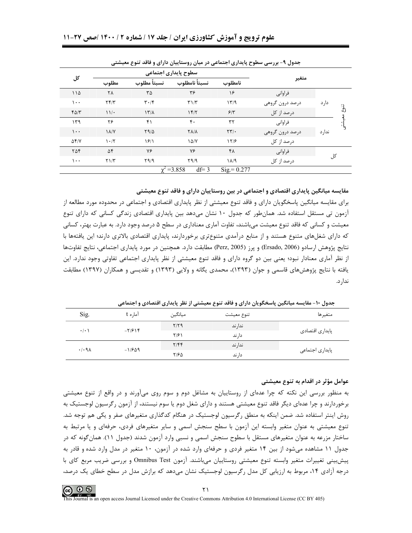|                |                    |                                         |                              |                  | بحاون ، ۔ بررسی سطرے پایتاری ابستانی در سان روستاییان دارای و ناصر سرے سیستی |        |      |
|----------------|--------------------|-----------------------------------------|------------------------------|------------------|------------------------------------------------------------------------------|--------|------|
|                |                    |                                         | سطوح پایداری اجتماعی         |                  |                                                                              |        |      |
| کل             | مطلوب              | نسبتأ نامطلوب<br>نسبتأ مطلوب<br>نامطلوب |                              | متغير            |                                                                              |        |      |
| ۱۱۵            | ٢٨                 | ٣۵                                      | ٣۶                           | ۱۶               | فراواني                                                                      |        |      |
| $\cdots$       | Yf/Y               | $\mathbf{r} \cdot \mathbf{r}$           | T1/T                         | 1779             | درصد درون گروهی                                                              | دار د  |      |
| $f\Delta/\tau$ | 11                 | $\frac{1}{\sqrt{2}}$                    | 15/7                         | $5/\tilde{r}$    | درصد از کل                                                                   |        | تنوع |
| 149            | ۲۶                 | ۴۱                                      | ۴٠                           | ٣٢               | فراواني                                                                      |        | ીં   |
| $\cdots$       | $\lambda/\lambda'$ | $Y9/\Delta$                             | $Y\Lambda/\Lambda$           | $\tau\tau/\cdot$ | درصد درون گروهی                                                              | ندار د |      |
| $\Delta f/V$   | 1.7                | $\frac{5}{2}$                           | $1\Delta/Y$                  | 17/9             | درصد از کل                                                                   |        |      |
| ۲۵۴            | ۵۴                 | ٧۶                                      | ٧۶                           | ۴۸               | فراواني                                                                      |        |      |
| $\cdots$       | Y1/T               | Y9/9                                    | Y9/9                         | $1\lambda/9$     | درصد از کل                                                                   | کل     |      |
|                |                    |                                         | $df = 3$<br>$\chi^2 = 3.858$ | $Sig = 0.277$    |                                                                              |        |      |

حدول ۹- پی سے سطوح بابداری احتماعی در میان روستاییان دارای و فاقد تنوع معیشته

مقایسه میانگین پایداری اقتصادی و اجتماعی در بین روستاییان دارای و فاقد تنوع معیشتی

برای مقایسه میانگین پاسخگویان دارای و فاقد تنوع معیشتی از نظر پایداری اقتصادی و اجتماعی در محدوده مورد مطالعه از ازمون تی مستقل استفاده شد. همانطور که جدول ۱۰ نشان میدهد بین پایداری اقتصادی زندگی کسانی که دارای تنوع معیشت و کسانی که فاقد تنوع معیشت می،باشند، تفاوت آماری معناداری در سطح ۵ درصد وجود دارد. به عبارت بهتر، کسانی که دارای شغلهای متنوع هستند و از منابع درآمدی متنوعتری برخوردارند، پایداری اقتصادی بالاتری دارند؛ این پافتهها با نتايج پژوهش ارسادو (Ersado, 2006) و پرز (Perz, 2005) مطابقت دارد. همچنين در مورد پايداري اجتماعي، نتايج تفاوتها از نظر آماری معنادار نبود؛ یعنی بین دو گروه دارای و فاقد تنوع معیشتی از نظر پایداری اجتماعی تفاوتی وجود ندارد. این یافته با نتایج پژوهشهای قاسمی و جوان (۱۳۹۳)، محمدی یگانه و ولایی (۱۳۹۳) و تقدیسی و همکاران (۱۳۹۷) مطابقت ندار د.

|                     | ت<br>.         | رے یا دی دی۔ رب | ----       | .<br>$^{\tiny{\text{++}}}$<br>- - |  |
|---------------------|----------------|-----------------|------------|-----------------------------------|--|
| Sig.                | آما, ه t       | ميانگين         | تنوع معيشت | متغيرها                           |  |
| $\cdot$ / $\cdot$ ) | $-\frac{1}{2}$ | $Y/Y$ ۹         | ندا, ند    | پایداری اقتصادی                   |  |
|                     |                | ۲/۶۱            | دا, ند     |                                   |  |
| .4.9A               | $-1/509$       | 7/5             | ندا, ند    | پایداری اجتماعی                   |  |
|                     |                | ۲/۶۵            | دار ند     |                                   |  |

حدول ۱۰- مقایسه میانگین باسخگویان دارای و فاقد تنوع معیشتی از نظر بایداری اقتصادی و احتماعی

#### عوامل مؤثر در اقدام به تنوع معیشتی

به منظور بررسی این نکته که چرا عدهای از روستاییان به مشاغل دوم و سوم روی میآورند و در واقع از تنوع معیشتی برخوردارند و چرا عدهای دیگر فاقد تنوع معیشتی هستند و دارای شغل دوم یا سوم نیستند، از آزمون رگرسیون لوجستیک به روش اینتر استفاده شد. ضمن اینکه به منطق رگرسیون لوجستیک در هنگام کدگذاری متغیرهای صفر و یکی هم توجه شد. تنوع معیشتی به عنوان متغیر وابسته این آزمون با سطح سنجش اسمی و سایر متغیرهای فردی، حرفهای و یا مرتبط به ساختار مزرعه به عنوان متغیرهای مستقل با سطوح سنجش اسمی و نسبی وارد آزمون شدند (جدول ۱۱). همان گونه که در جدول ۱۱ مشاهده میشود از بین ۱۴ متغیر فردی و حرفهای وارد شده در آزمون، ۱۰ متغیر در مدل وارد شده و قادر به پیش بینی تغییرات متغیر وابسته تنوع معیشتی روستاییان می باشند. آزمون Omnibus Test و بررسی ضریب مربع کای با درجه آزادی ۱۴، مربوط به ارزیابی کل مدل رگرسیون لوجستیک نشان می۵هد که برازش مدل در سطح خطای یک درصد،

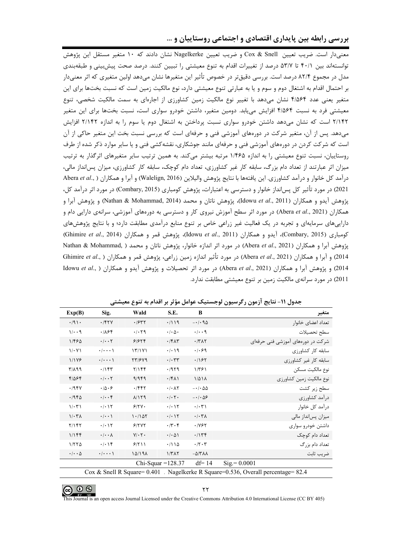بررسی رابطه بین پایداری اقتصادی و اجتماعی روستاییان و …

معنیدار است. ضریب تعیین Cox & Snell و ضریب تعیین Nagelkerke نشان دادند که ۱۰ متغیر مستقل این پژوهش توانستهاند بین ۴۰/۱ تا ۵۳/۷ درصد از تغییرات اقدام به تنوع معیشتی را تبیین کنند. درصد صحت پیشبینی و طبقهبندی مدل در مجموع ۸۲/۴ درصد است. بررسی دقیقتر در خصوص تأثیر این متغیرها نشان میدهد اولین متغیری که اثر معنیدار بر احتمال اقدام به اشتغال دوم و سوم و یا به عبارتی تنوع معیشتی دارد، نوع مالکیت زمین است که نسبت بختها برای این متغیر یعنی عدد ۴/۵۶۴ نشان میدهد با تغییر نوع مالکیت زمین کشاورزی از اجارهای به سمت مالکیت شخصی، تنوع معیشتی فرد به نسبت ۴/۵۶۴ افزایش مییابد. دومین متغیر، داشتن خودرو سواری است، نسبت بختها برای این متغیر ۲/۱۴۲ است که نشان می دهد داشتن خودرو سواری نسبت پرداختن به اشتغال دوم یا سوم را به اندازه ۲/۱۴۲ افزایش میدهد. پس از آن، متغیر شرکت در دورههای آموزشی فنی و حرفهای است که بررسی نسبت بخت این متغیر حاکی از آن است که شرکت کردن در دورههای آموزشی فنی و حرفهای مانند جوشکاری، نقشه کشی فنی و یا سایر موارد ذکر شده از طرف روستاییان، نسبت تنوع معیشتی را به اندازه ۱/۴۶۵ مرتبه بیشتر میکند. به همین ترتیب سایر متغیرهای اثرگذار به ترتیب میزان اثر عبارتند از تعداد دام بزرگ، سابقه کار غیر کشاورزی، تعداد دام کوچک، سابقه کار کشاورزی، میزان پسانداز مالی، درآمد كل خانوار و درآمد كشاورزي. اين يافتهها با نتايج پژوهش واليلاين (Walelign, 2016) و آبرا و همكاران ( ,Abera et al 2021) در مورد تأثیر کل پس|نداز خانوار و دسترسی به اعتبارات، پژوهش کومباری (Combary, 2015) در مورد اثر درآمد کل، يژوهش آيدو و همكاران (Idowu *et al.,* 2011)، يژوهش ناتان و محمد (Nathan & Mohammad, 2014) و يژوهش آبرا و همکاران (Abera *et al.*, 2021) در مورد اثر سطح آموزش نیروی کار و دسترسی به دورههای آموزشی، سرانهی دارایی دام و داراییهای سرمایهای و تجربه در یک فعالیت غیر زراعی خاص بر تنوع منابع درآمدی مطابقت دارد؛ و با نتایج پژوهشهای کومباری (Combary, 2015)، آیدو و همکاران (Idowu et al., 2011)، پژوهش قمر و همکاران (Ghimire et al., 2014) پژوهش آبرا و همكاران (Abera et al., 2021) در مورد اثر اندازه خانوار، پژوهش ناتان و محمد ( ,Nathan & Mohammad 2014) و آبرا و همكاران (Abera *et al.*, 2021) در مورد تأثير اندازه زمين زراعي، پژوهش قمر و همكاران ( ,Ghimire *et al* 2014) و پژوهش آبرا و همكاران (Abera et al., 2021) در مورد اثر تحصيلات و پژوهش آيدو و همكاران ( ,Idowu et al 2011) در مورد سرانهی مالکیت زمین بر تنوع معیشتی مطابقت ندارد.

| Exp(B)                                                                                        | Sig.                            | Wald        | S.E.                                | B                            | متغير                             |  |  |
|-----------------------------------------------------------------------------------------------|---------------------------------|-------------|-------------------------------------|------------------------------|-----------------------------------|--|--|
| $\cdot$ /9).                                                                                  | .751                            | .1977       | .719                                | $-\cdot/\cdot9\Delta$        | تعداد اعضاى خانوار                |  |  |
| $1/\cdot \cdot 9$                                                                             | .785                            | .7.79       | $\cdot$ / $\cdot$ $\wedge$ $\cdot$  | $\cdot/\cdot\cdot$ 9         | سطح تحصيلات                       |  |  |
| 1/480                                                                                         | $\cdot/\cdot\cdot$ $\mathsf{Y}$ | 91979       | $\cdot$ /۴۸۳                        | $\cdot$ /۳ $\wedge$ ۲        | شرکت در دورههای آموزشی فنی حرفهای |  |  |
| 1/2.4                                                                                         | $\cdot/\cdot\cdot\cdot$         | 17/191      | $\cdot/\cdot$ 19                    | .1.89                        | سابقه کار کشاورزی                 |  |  |
| 1/179                                                                                         | $\cdot/\cdot\cdot\cdot$         | 77/979      | $\cdot/\cdot$ ٣٣                    | .197                         | سابقه كار غير كشاورزى             |  |  |
| P/A                                                                                           | .1157                           | Y/Y         | .7979                               | 1/791                        | نوع مالكيت مسكن                   |  |  |
| $F/\Delta F$                                                                                  | $\cdot/\cdot\cdot$ $\mathsf{Y}$ | 9/969       | $.$ /۴۸۱                            | $1/\Delta$ $1\Delta$         | نوع مالکیت زمین کشاورزی           |  |  |
| .795V                                                                                         | $\cdot \beta \cdot 5$           | .7997       | $\cdot$ / $\cdot$ $\wedge$ $\vee$   | $-\cdot/\cdot \Delta \Delta$ | سطح زیر کشت                       |  |  |
| .79F <sub>0</sub>                                                                             | $\cdot/\cdot\cdot$ ۴            | A/Y9        | $\cdot/\cdot$ $\mathsf{Y}$ $\cdot$  | $-\cdot/\cdot\Delta$ ۶       | درآمد کشاورزی                     |  |  |
| $1/\cdot 71$                                                                                  | $\cdot/\cdot$ \ $\Upsilon$      | 9/7V        | $\cdot/\cdot$ ) $\Upsilon$          | $\cdot/\cdot\tau$            | درآمد کل خانوار                   |  |  |
| $1/\cdot 7\lambda$                                                                            | $\cdot/\cdot\cdot$              | 1.1107      | $\cdot/\cdot$ ) $\Upsilon$          | $\cdot/\cdot \tau$           | میزان پسانداز مالی                |  |  |
| $Y/1$ ۴۲                                                                                      | $\cdot/\cdot$ ) $\Upsilon$      | 5/777       | $\cdot$ /۳ $\cdot$ ۴                | $\cdot$ /YSY                 | داشتن خودرو سوارى                 |  |  |
| $1/1$ ۴۴                                                                                      | $\cdot/\cdot\cdot\lambda$       | $Y/\cdot Y$ | $\cdot$ / $\cdot$ $\wedge$ $\wedge$ | .115f                        | تعداد دام کوچک                    |  |  |
| 1/570                                                                                         | $\cdot/\cdot$ ) $\uparrow$      | 9/7         | .7110                               | $\cdot$ /۲ $\cdot$ ۳         | تعداد دام بزرگ                    |  |  |
| $\cdot/\cdot\cdot\Delta$                                                                      | $\cdot$ / $\cdot$ $\cdot$ \     | 10/19A      | $1/T\Lambda$                        | $-\Delta$ /۳۸۸               | ضريب ثابت                         |  |  |
| $Chi-Squar = 128.37$                                                                          |                                 |             |                                     | $df = 14$                    | $Sig = 0.0001$                    |  |  |
| Nagelkerke R Square= $0.536$ . Overall percentage= $82.4$<br>$\cos \&$ Snell R Square = 0.401 |                                 |             |                                     |                              |                                   |  |  |

جدول ١١- نتايج آزمون رگرسيون لوجستيک عوامل مؤثر بر اقدام به تنوع معيشتي

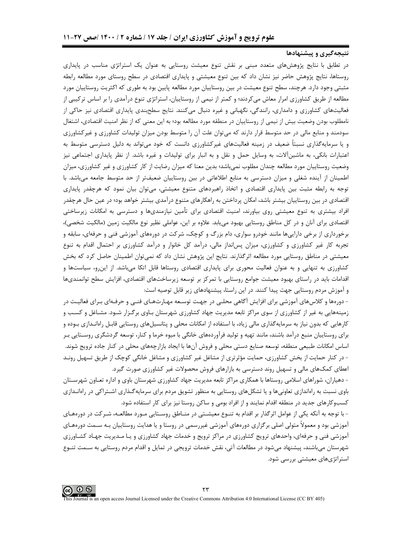#### نتیجهگیری و پیشنهادها

در تطابق با نتایج پژوهشهای متعدد مبنی بر نقش تنوع معیشت روستایی به عنوان یک استراتژی مناسب در پایداری روستاها، نتایج پژوهش حاضر نیز نشان داد که بین تنوع معیشتی و پایداری اقتصادی در سطح روستای مورد مطالعه رابطه مثبتی وجود دارد. هرچند، سطح تنوع معیشت در بین روستاییان مورد مطالعه پایین بود به طوری که اکثریت روستاییان مورد مطالعه از طریق کشاورزی امرار معاش میکردند؛ و کمتر از نیمی از روستاییان، استراتژی تنوع درآمدی را بر اساس ترکیبی از فعالیتهای کشاورزی و دامداری، رانندگی، نگهبانی و غیره دنبال میکنند. نتایج سطحبندی پایداری اقتصادی نیز حاکی از نامطلوب بودن وضعیت بیش از نیمی از روستاییان در منطقه مورد مطالعه بود؛ به این معنی که از نظر امنیت اقتصادی، اشتغال سودمند و منابع مالی در حد متوسط قرار دارند که می توان علت آن را متوسط بودن میزان تولیدات کشاورزی و غیرکشاورزی و یا سرمایهگذاری نسبتاً ضعیف در زمینه فعالیتهای غیرکشاورزی دانست که خود میتواند به دلیل دسترسی متوسط به اعتبارات بانکی، به ماشینآلات، به وسایل حمل و نقل و به انبار برای تولیدات و غیره باشد. از نظر پایداری اجتماعی نیز وضعیت روستاییان مورد مطالعه چندان مطلوب نمیباشد؛ بدین معنا که میزان رضایت از کار کشاورزی و غیر کشاورزی، میزان اطمینان از آینده شغلی و میزان دسترسی به منابع اطلاعاتی در بین روستاییان ضعیفتر از حد متوسط جامعه میباشد. با توجه به رابطه مثبت بین پایداری اقتصادی و اتخاذ راهبردهای متنوع معیشتی، می¤وان بیان نمود که هرچقدر پایداری اقتصادی در بین روستاییان بیشتر باشد، امکان پرداختن به راهکارهای متنوع درآمدی بیشتر خواهد بود؛ در عین حال هرچقدر افراد بیشتری به تنوع معیشتی روی بیاورند، امنیت اقتصادی برای تأمین نیازمندیها و دسترسی به امکانات زیرساختی اقتصادی برای آنان و در کل مناطق روستایی بهبود می بابد. علاوه بر این، عواملی نظیر نوع مالکیت زمین (مالکیت شخصی)، برخورداری از برخی داراییها مانند خودرو سواری، دام بزرگ و کوچک، شرکت در دورههای آموزشی فنی و حرفهای، سابقه و تجربه کار غیر کشاورزی و کشاورزی، میزان پسانداز مالی، درآمد کل خانوار و درآمد کشاورزی بر احتمال اقدام به تنوع معیشتی در مناطق روستایی مورد مطالعه اثرگذارند. نتایج این پژوهش نشان داد که نمی¤وان اطمینان حاصل کرد که بخش کشاورزی به تنهایی و به عنوان فعالیت محوری برای پایداری اقتصادی روستاها قابل اتکا می,باشد. از این,و، سیاستها و اقدامات باید در راستای بهبود معیشت جوامع روستایی با تمرکز بر توسعه زیرساختهای اقتصادی، افزایش سطح توانمندیها و آموزش مردم روستایی جهت پیدا کنند. در این راستا، پیشنهادهای زیر قابل توصیه است:

- دورهها و کلاسهای آموزشی برای افزایش آگاهی محلـی در جهـت توسـعه مهـارتهـای فنـی و حرفـهای بـرای فعالیـت در زمینههایی به غیر از کشاورزی از سوی مراکز تابعه مدیریت جهاد کشاورزی شهرستان بـاوی برگـزار شـود. مشـاغل و کسـب و کارهایی که بدون نیاز به سرمایهگذاری مالی زیاد، با استفاده از امکانات محلی و پتانسیلهای روستایی قابـل راهانـدازی بـوده و برای روستاییان منبع درآمد باشند، مانند تهیه و تولید فرآوردههای خانگی با میوه خرما و کنار، توسعه گردشگری روسـتایی بـر اساس امکانات طبیعی منطقه، توسعه صنایع دستی محلی و فروش آنها با ایجاد بازارچههای محلی در کنار جاده ترویج شوند. - در کنار حمایت از بخش کشاورزی، حمایت مؤثرتری از مشاغل غیر کشاورزی و مشاغل خانگی کوچک از طریق تسهیل رونـد اعطای کمکهای مالی و تسهیل روند دسترسی به بازارهای فروش محصولات غیر کشاورزی صورت گیرد.

- دهیاران، شوراهای اسلامی روستاها با همکاری مراکز تابعه مدیریت جهاد کشاورزی شهرستان باوی و اداره تعـاون شهرسـتان باوی نسبت به راهاندازی تعاونیها و یا تشکلهای روستایی به منظور تشویق مردم برای سرمایهگذاری اشـتراکی در راهانـدازی کسبوکارهای جدید در منطقه اقدام نمایند و از افراد بومی و ساکن روستا نیز برای کار استفاده شود.

- با توجه به آنکه یکی از عوامل اثرگذار بر اقدام به تنــوع معیشــتی در منــاطق روســتایی مــورد مطالعــه، شــرکت در دورههــای آموزشی بود و معمولاً متولی اصلی برگزاری دورههای آموزشی غیررسمی در روستا و یا هدایت روستاییان بـه سـمت دورههـای آموزشی فنی و حرفهای، واحدهای ترویج کشاورزی در مراکز ترویج و خدمات جهاد کشاورزی و یـا مـدیریت جهـاد کشـاورزی شهرستان میباشند، پیشنهاد میشود در مطالعات آتی، نقش خدمات ترویجی در تمایل و اقدام مردم روستایی به سـمت تنــوع استراتژیهای معیشتی بررسی شود.

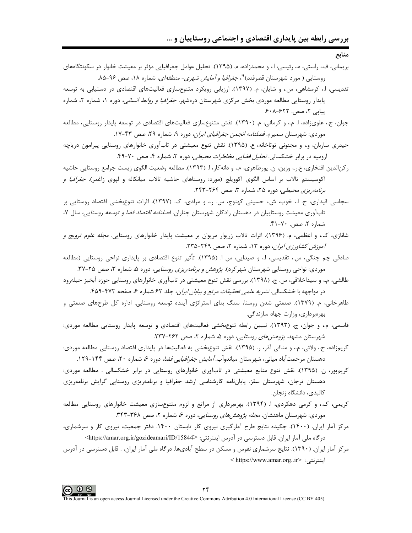منابع

- بريماني، ف،، راستي، ه،، رئيسي، ا.، و محمدزاده، م. (١٣٩۵). تحليل عوامل جغرافيايي مؤثر بر معيشت خانوار در سكونتگاههاي روستایی ( مورد شهرستان قصرقند)"*، جغرافیا و آمایش شهری- منطقهای*، شماره ۱۸، صص ۹۶−۸۵.
- تقدیسی، ا.، کرمشاهی، س.، و شایان، م. (۱۳۹۷). ارزیابی رویکرد متنوعسازی فعالیتهای اقتصادی در دستیابی به توسعه پایدار روستایی مطالعه موردی بخش مرکزی شهرستان درمشهر. *جغرافیا و روابط انسانی*، دوره ۱، شماره ۲، شماره یبایی ۲، صص. ۶۲۲-۶۰۸.
- جوان، ج.، علوىزاده، ا. م.، و كرماني، م. (١٣٩٠). نقش متنوعسازي فعاليتهاي اقتصادي در توسعه پايدار روستايي، مطالعه موردي: شهرستان سميرم. *فصلنامه انجمن جغرافياي ايران*، دوره ۹، شماره ۲۹، صص ۴۳-۱۷.
- حیدری ساربان، و.، و مجنونی توتاخانه، ع. (۱۳۹۵). نقش تنوع معیشتی در تابآوری خانوارهای روستایی پیرامون دریاچه ارومیه در برابر خشکسالی. *تحلیل فضایی مخاطرات محیطی،* دوره ۳، شماره ۴، صص ۷۰-۴۹.
- ركن|لدين افتخاري، ع.ر.، وزين، ن. پورطاهري، م.، و دانهكار، ا. (١٣٩٣). مطالعه وضعيت الگوي زيست جوامع روستايي حاشيه اکوسیستم تالاب بر اساس الگوی اکوویلج (مورد: روستاهای حاشیه تالاب میانکاله و لیوی زاغمر). *جغرافیا و* بر*نامه ریزی محیطی*، دوره ۲۵، شماره ۳، صص ۲۶۴-۲۴۳.
- سجاسی قیداری، ح. ا.، خوب، ش.، حسینی کهنوج، س. ر.، و مرادی، ک. (۱۳۹۷). اثرات تنوعبخشی اقتصاد روستایی بر تابآوری معیشت روستاییان در دهستان رادکان شهرستان چناران. *فصلنامه اقتصاد فضا و توسعه روستایی*، سال ۷، شماره ۲، صص. ۷۰-۴۱.
- شانازی، ک.، و اعظمی، م. (۱۳۹۶). اثرات تالاب زریوار مریوان بر معیشت پایدار خانوارهای روستایی. *مجله علوم ترویج و* آموزش کشاورز*ی ایران*، دوره ۱۳، شماره ۲، صص ۲۴۹-۲۳۵.
- صادقي چم چنگي، س.، تقديسي، ا.، و صيدايي، س ا. (١٣٩۵). تأثير تنوع اقتصادي بر پايداري نواحي روستايي (مطالعه موردی: نواحی روستایی شهرستان شهرکرد). *پژوهش و برنامهریزی روستایی،* دوره ۵، شماره ۳، صص ۲۵-۳۷.
- طالشی، م.، و سیداخلاقی، س. ج. (۱۳۹۸). بررسی نقش تنوع معیشتی در تابآوری خانوارهای روستایی حوزه آبخیز حبلهرود در مواجهه با خشکسالی. *نشریه علمی تحقیقات مرتع و بیابان ایران*، جلد ۶۲ شماره ۶، صفحه ۴۷۳-۴۵۹.
- طاهرخانی، م. (۱۳۷۹). صنعتی شدن روستا، سنگ بنای استراتژی آینده توسعه روستایی. اداره کل طرحهای صنعتی و بھر میر داری، وزارت جھاد سازندگے.
- قاسمی، م.، و جوان، ج. (۱۳۹۳). تبیین رابطه تنوعبخشی فعالیتهای اقتصادی و توسعه پایدار روستایی مطالعه موردی: شهرستان مشهد. *پژوهشهای روستایی،* دوره ۵، شماره ۲، صص ۲۶۲-۲۳۷.
- کرپمزاده، ح، ولائي، م،، و منافي آذر، ر. (۱۳۹۵). نقش تنوع بخشي به فعاليتها در پايداري اقتصاد روستايي مطالعه موردي: دهستان مرحمتآباد میانی، شهرستان میاندوآب*. آمایش جغرافیایی فضا*، دوره ۶، شماره ۲۰، صص ۱۴۴-۱۲۹.
- کریمپور، ن. (۱۳۹۵). نقش تنوع منابع معیشتی در تابآوری خانوارهای روستایی در برابر خشکسالی . مطالعه موردی: دهستان ترجان، شهرستان سقز. پایانِنامه کارشناسی ارشد جغرافیا و برنامهریزی روستایی گرایش برنامهریزی كالبدى، دانشگاه زنجان.
- کریمی، ک.، و کرمی دهکردی، ا. (۱۳۹۴). بهرهبرداری از مراتع و لزوم متنوعسازی معیشت خانوارهای روستایی مطالعه موردی: شهرستان ماهنشان. *مجله پژوهش های روستایی،* دوره ۶، شماره ۲، صص ۳۶۸-۳۴۳.
- مرکز آمار ایران. (۱۴۰۰). چکیده نتایج طرح آمارگیری نیروی کار تابستان ۱۴۰۰. دفتر جمعیت، نیروی کار و سرشماری، درگاه ملی آمار ایران. قابل دسترسی در آدرس اینترنتی: <https://amar.org.ir/gozideamari/ID/15844>
- مرکز آمار ایران. (۱۳۹۰). نتایج سرشماری نفوس و مسکن در سطح آبادیها. درگاه ملی آمار ایران، . قابل دسترسی در آدرس ابنترنتي: <https://www.amar.org..ir>

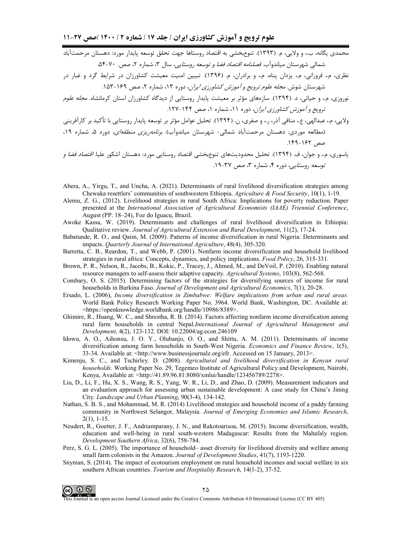.<br>محمدی یگانه، ب.، و ولایی، م. (۱۳۹۳). تنوعبخشی به اقتصاد روستاها جهت تحقق توسعه پایدار مورد: دهستان مرحمتآباد شمالی شهرستان میاندوآب*. فصلنامه اقتصاد فضا و توسعه روستایی،* سال ۳، شماره ۲، صص. ۷۰-۵۴.

.<br>نظری، م.، فروزانی، م.، یزدان پناه، م.، و برادران، م. (۱۳۹۶). تبیین امنیت معیشت کشاورزان در شرایط گرد و غبار در شهرستان شوش. *مجله علوم ترويج و آموزش كشاورزي ايران*، دوره ۱۳، شماره ۲، صص ۱۶۹-۱۵۳.

نوروزی، م.، و حیاتی، د. (۱۳۹۴). سازمهای مؤثر بر معیشت پایدار روستایی از دیدگاه کشاورزان استان کرمانشاه. *مجله علوم* ترويج و آموزش كشاورزي ايران، دوره ١١، شماره ١، صص ١۴۴-١٢٧.

ولايي، م.، عبدالهي، ع.، منافي آذر، ر.، و صفري، ن. (١٣٩۴). تحليل عوامل مؤثر بر توسعه پايدار روستايي با تأكيد بر كارآفريني (مطالعه موردی: دهستان مرحمتآباد شمالی- شهرستان میاندوآب). بر*نامهریزی منطقهای*، دوره ۵، شماره ۱۹، صص ١٤٢-١٤٩.

.<br>یاسوری، م.، و جوان، ف. (۱۳۹۴). تحلیل محدودیتهای تنوعِبخشی اقتصاد روستایی مورد: دهستان اشکور علیا. *اقتصاد فضا و* توسعه روستایی، دوره ۴، شماره ۳، صص ۳۷-۱۹.

- Abera, A., Yirgu, T., and Uncha, A. (2021). Determinants of rural livelihood diversification strategies among Chewaka resettlers' communities of southwestern Ethiopia. Agriculture & Food Security,  $10(1)$ , 1-19.
- Alemu, Z. G., (2012). Livelihood strategies in rural South Africa: Implications for poverty reduction. Paper presented at the International Association of Agricultural Economists (IAAE) Triennial Conference, August (PP. 18-24), Foz do Iguacu, Brazil.
- Awoke Kassa, W. (2019). Determinants and challenges of rural livelihood diversification in Ethiopia: Qualitative review. Journal of Agricultural Extension and Rural Development, 11(2), 17-24.
- Babatunde, R. O., and Qaim, M. (2009). Patterns of income diversification in rural Nigeria: Determinants and impacts. Quarterly Journal of International Agriculture, 48(4), 305-320.
- Barretta, C. B., Reardon, T., and Webb, P. (2001). Nonfarm income diversification and household livelihood strategies in rural africa: Concepts, dynamics, and policy implications. Food Policy, 26, 315-331.
- Brown, P. R., Nelson, R., Jacobs, B., Kokic, P., Tracey, J., Ahmed, M., and DeVoil, P. (2010). Enabling natural resource managers to self-assess their adaptive capacity. Agricultural Systems, 103(8), 562-568.
- Combary, O. S. (2015). Determining factors of the strategies for diversifying sources of income for rural households in Burkina Faso. Journal of Development and Agricultural Economics, 7(1), 20-28.
- Ersado, L. (2006), Income diversification in Zimbabwe: Welfare implications from urban and rural areas. World Bank Policy Research Working Paper No. 3964. World Bank, Washington, DC. Available at: <https://openknowledge.worldbank.org/handle/10986/8389>.
- Ghimire, R., Huang, W. C., and Shrestha, R. B. (2014). Factors affecting nonfarm income diversification among rural farm households in central Nepal.International Journal of Agricultural Management and Development, 4(2), 123-132. DOI: 10.22004/ag.econ.246109
- Idowu, A. O., Aihonsu, J. O. Y., Olubanjo, O. O., and Shittu, A. M. (2011). Determinants of income diversification among farm households in South-West Nigeria. Economics and Finance Review, 1(5), 33-34. Available at: <http://www.businessjournalz.org/efr. Accessed on 15 January, 2013>.
- Kimenju, S. C., and Tschirley. D. (2008). Agricultural and livelihood diversification in Kenyan rural households. Working Paper No. 29, Tegemeo Institute of Agricultural Policy and Development, Nairobi, Kenya, Available at: <http://41.89.96.81:8080/xmlui/handle/123456789/2278>.
- Liu, D., Li, F., Hu, X. S., Wang, R. S., Yang, W. R., Li, D., and Zhao, D. (2009). Measurement indicators and an evaluation approach for assessing urban sustainable development: A case study for China's Jining City. Landscape and Urban Planning, 90(3-4), 134-142.
- Nathan, S. B. S., and Mohammad, M. R. (2014) Livelihood strategies and household income of a paddy farming community in Northwest Selangor, Malaysia. Journal of Emerging Economies and Islamic Research,  $2(1), 1-15.$
- Neudert, R., Goetter, J. F., Andriamparany, J. N., and Rakotoarisoa, M. (2015). Income diversification, wealth, education and well-being in rural south-western Madagascar: Results from the Mahafaly region. Development Southern Africa, 32(6), 758-784.
- Perz, S. G. L. (2005). The importance of household– asset diversity for livelihood diversity and welfare among small farm colonists in the Amazon. Journal of Development Studies, 41(7), 1193-1220.
- Snyman, S. (2014). The impact of ecotourism employment on rural household incomes and social welfare in six southern African countries. Tourism and Hospitality Research, 14(1-2), 37-52.



This Journal is an open access Journal Licensed under the Creative Commons Attribution 4.0 International License (CC BY 405)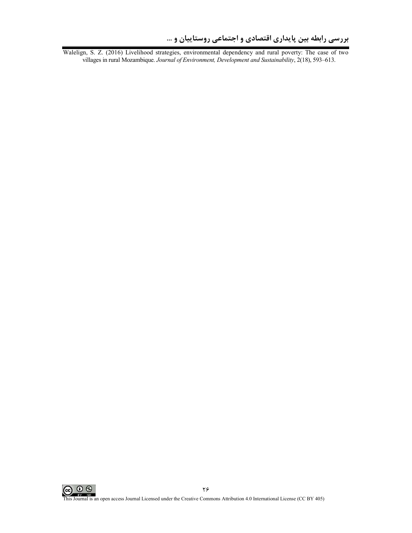Walelign, S. Z. (2016) Livelihood strategies, environmental dependency and rural poverty: The case of two villages in rural Mozambique. *Journal of Environment, Development and Sustainability*, 2(18), 593–613.